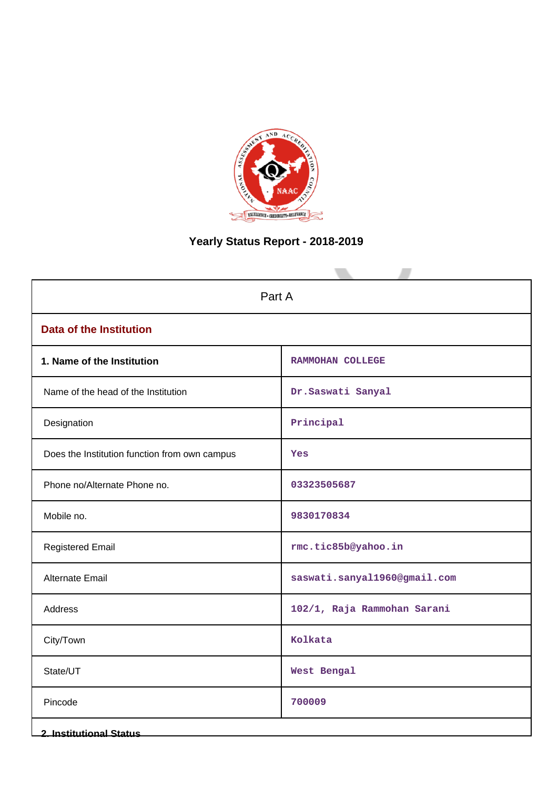

# **Yearly Status Report - 2018-2019**

| Part A                                        |                              |  |  |
|-----------------------------------------------|------------------------------|--|--|
| <b>Data of the Institution</b>                |                              |  |  |
| 1. Name of the Institution                    | RAMMOHAN COLLEGE             |  |  |
| Name of the head of the Institution           | Dr.Saswati Sanyal            |  |  |
| Designation                                   | Principal                    |  |  |
| Does the Institution function from own campus | Yes                          |  |  |
| Phone no/Alternate Phone no.                  | 03323505687                  |  |  |
| Mobile no.                                    | 9830170834                   |  |  |
| <b>Registered Email</b>                       | rmc.tic85b@yahoo.in          |  |  |
| Alternate Email                               | saswati.sanyal1960@gmail.com |  |  |
| Address                                       | 102/1, Raja Rammohan Sarani  |  |  |
| City/Town                                     | Kolkata                      |  |  |
| State/UT                                      | West Bengal                  |  |  |
| Pincode                                       | 700009                       |  |  |
| <b>2. Institutional Status</b>                |                              |  |  |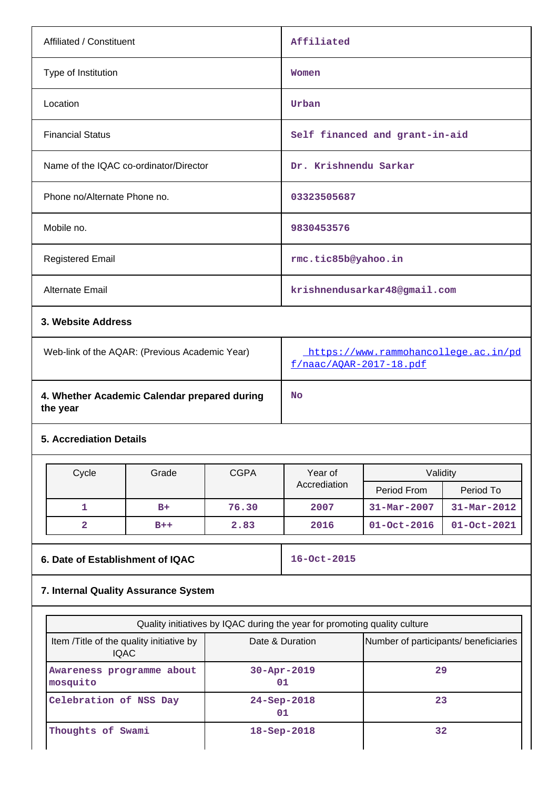| Affiliated / Constituent                       | Affiliated                                                      |
|------------------------------------------------|-----------------------------------------------------------------|
| Type of Institution                            | Women                                                           |
| Location                                       | Urban                                                           |
| <b>Financial Status</b>                        | Self financed and grant-in-aid                                  |
| Name of the IQAC co-ordinator/Director         | Dr. Krishnendu Sarkar                                           |
| Phone no/Alternate Phone no.                   | 03323505687                                                     |
| Mobile no.                                     | 9830453576                                                      |
| <b>Registered Email</b>                        | rmc.tic85b@yahoo.in                                             |
| Alternate Email                                | krishnendusarkar48@gmail.com                                    |
| 3. Website Address                             |                                                                 |
| Web-link of the AQAR: (Previous Academic Year) | https://www.rammohancollege.ac.in/pd<br>f/naac/AQAR-2017-18.pdf |

**4. Whether Academic Calendar prepared during the year**

## **5. Accrediation Details**

| Cycle | Grade | <b>CGPA</b> | Year of      | Validity                 |                   |
|-------|-------|-------------|--------------|--------------------------|-------------------|
|       |       |             | Accrediation | Period From              | Period To         |
|       | $B+$  | 76.30       | 2007         | $31 - \text{Mar} - 2007$ | $31 - Mar - 2012$ |
|       | $B++$ | 2.83        | 2016         | $01 - Oct - 2016$        | $01 - Oct - 2021$ |

**No**

**6. Date of Establishment of IQAC 16-Oct-2015**

## **7. Internal Quality Assurance System**

| Quality initiatives by IQAC during the year for promoting quality culture |                          |                                       |  |
|---------------------------------------------------------------------------|--------------------------|---------------------------------------|--|
| Item / Title of the quality initiative by<br><b>IQAC</b>                  | Date & Duration          | Number of participants/ beneficiaries |  |
| Awareness programme about<br>mosquito                                     | $30 - Appr - 2019$<br>01 | 29                                    |  |
| Celebration of NSS Day                                                    | $24 - Sep - 2018$<br>01  | 23                                    |  |
| Thoughts of Swami                                                         | $18 -$ Sep $-2018$       | 32                                    |  |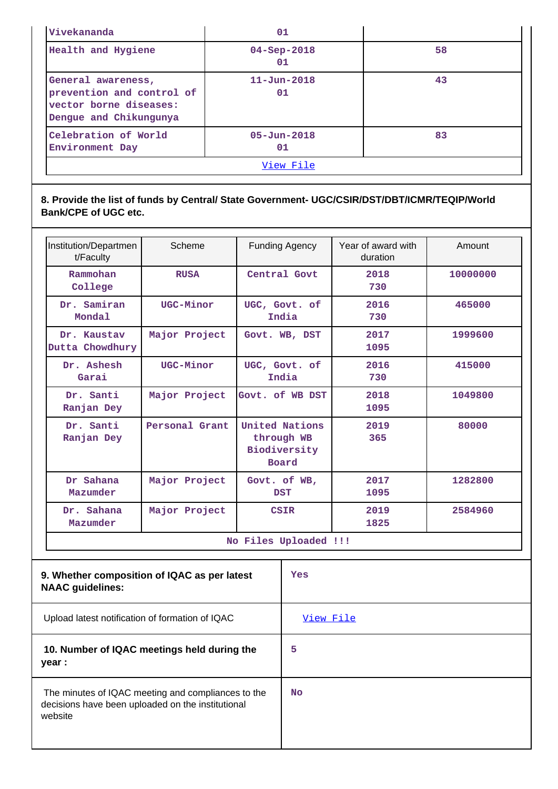| Vivekananda                                                                                         | 01                      |    |  |
|-----------------------------------------------------------------------------------------------------|-------------------------|----|--|
| Health and Hygiene                                                                                  | $04 - Sep - 2018$<br>01 | 58 |  |
| General awareness,<br>prevention and control of<br>vector borne diseases:<br>Dengue and Chikungunya | $11 - Jun - 2018$<br>01 | 43 |  |
| Celebration of World<br>Environment Day                                                             | $05 - Jun - 2018$<br>01 | 83 |  |
|                                                                                                     | View File               |    |  |

## **8. Provide the list of funds by Central/ State Government- UGC/CSIR/DST/DBT/ICMR/TEQIP/World Bank/CPE of UGC etc.**

| Institution/Departmen<br>t/Faculty                                      | Scheme                                          | <b>Funding Agency</b>                                 |           | Year of award with<br>duration | Amount   |
|-------------------------------------------------------------------------|-------------------------------------------------|-------------------------------------------------------|-----------|--------------------------------|----------|
| Rammohan<br>College                                                     | <b>RUSA</b>                                     | Central Govt                                          |           | 2018<br>730                    | 10000000 |
| Dr. Samiran<br>Mondal                                                   | UGC-Minor                                       | UGC, Govt. of<br>India                                |           | 2016<br>730                    | 465000   |
| Dr. Kaustav<br>Dutta Chowdhury                                          | Major Project                                   | Govt. WB, DST                                         |           | 2017<br>1095                   | 1999600  |
| Dr. Ashesh<br>Garai                                                     | UGC-Minor                                       | UGC, Govt. of<br>India                                |           | 2016<br>730                    | 415000   |
| Dr. Santi<br>Ranjan Dey                                                 | Major Project                                   | Govt. of WB DST                                       |           | 2018<br>1095                   | 1049800  |
| Dr. Santi<br>Ranjan Dey                                                 | Personal Grant                                  | United Nations<br>through WB<br>Biodiversity<br>Board |           | 2019<br>365                    | 80000    |
| Dr Sahana<br>Mazumder                                                   | Major Project                                   | Govt. of WB,<br><b>DST</b>                            |           | 2017<br>1095                   | 1282800  |
| Dr. Sahana<br>Mazumder                                                  | Major Project                                   | <b>CSIR</b>                                           |           | 2019<br>1825                   | 2584960  |
| No Files Uploaded !!!                                                   |                                                 |                                                       |           |                                |          |
| 9. Whether composition of IQAC as per latest<br><b>NAAC</b> guidelines: |                                                 |                                                       | Yes       |                                |          |
|                                                                         | Upload latest notification of formation of IQAC |                                                       | View File |                                |          |

## **10. Number of IQAC meetings held during the year :**

| The minutes of IQAC meeting and compliances to the |
|----------------------------------------------------|
| decisions have been uploaded on the institutional  |
| website                                            |

**5**

**No**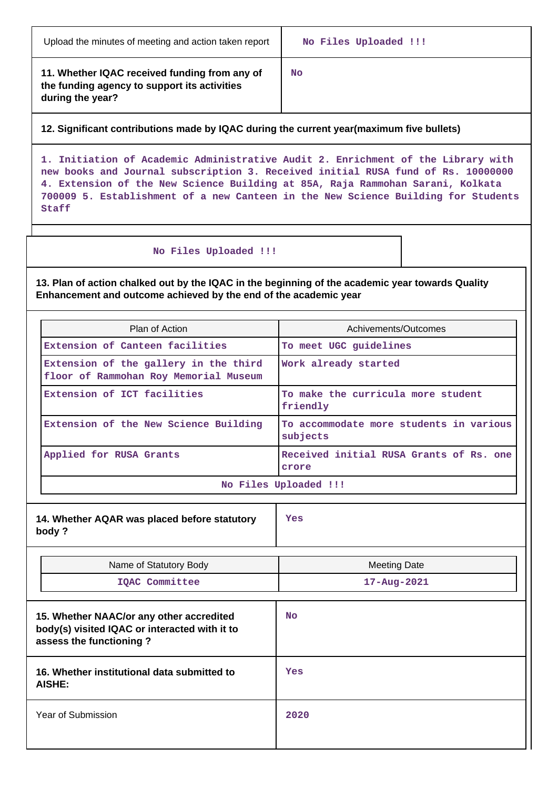| Upload the minutes of meeting and action taken report |  |  |
|-------------------------------------------------------|--|--|
|-------------------------------------------------------|--|--|

**11. Whether IQAC received funding from any of the funding agency to support its activities during the year?**

**No**

### **12. Significant contributions made by IQAC during the current year(maximum five bullets)**

**1. Initiation of Academic Administrative Audit 2. Enrichment of the Library with new books and Journal subscription 3. Received initial RUSA fund of Rs. 10000000 4. Extension of the New Science Building at 85A, Raja Rammohan Sarani, Kolkata 700009 5. Establishment of a new Canteen in the New Science Building for Students Staff**

### **No Files Uploaded !!!**

**13. Plan of action chalked out by the IQAC in the beginning of the academic year towards Quality Enhancement and outcome achieved by the end of the academic year**

| Plan of Action                                                                 | Achivements/Outcomes                                |  |
|--------------------------------------------------------------------------------|-----------------------------------------------------|--|
| Extension of Canteen facilities                                                | To meet UGC quidelines                              |  |
| Extension of the gallery in the third<br>floor of Rammohan Roy Memorial Museum | Work already started                                |  |
| Extension of ICT facilities                                                    | To make the curricula more student<br>friendly      |  |
| Extension of the New Science Building                                          | To accommodate more students in various<br>subjects |  |
| Applied for RUSA Grants                                                        | Received initial RUSA Grants of Rs. one<br>crore    |  |
| No Files Uploaded !!!                                                          |                                                     |  |

| 14. Whether AQAR was placed before statutory<br>body?                                                                |  | Yes                 |  |
|----------------------------------------------------------------------------------------------------------------------|--|---------------------|--|
| Name of Statutory Body                                                                                               |  | <b>Meeting Date</b> |  |
| IQAC Committee                                                                                                       |  | $17 - Aug - 2021$   |  |
| 15. Whether NAAC/or any other accredited<br>body(s) visited IQAC or interacted with it to<br>assess the functioning? |  | <b>No</b>           |  |
| 16. Whether institutional data submitted to<br>AISHE:                                                                |  | <b>Yes</b>          |  |
| Year of Submission                                                                                                   |  | 2020                |  |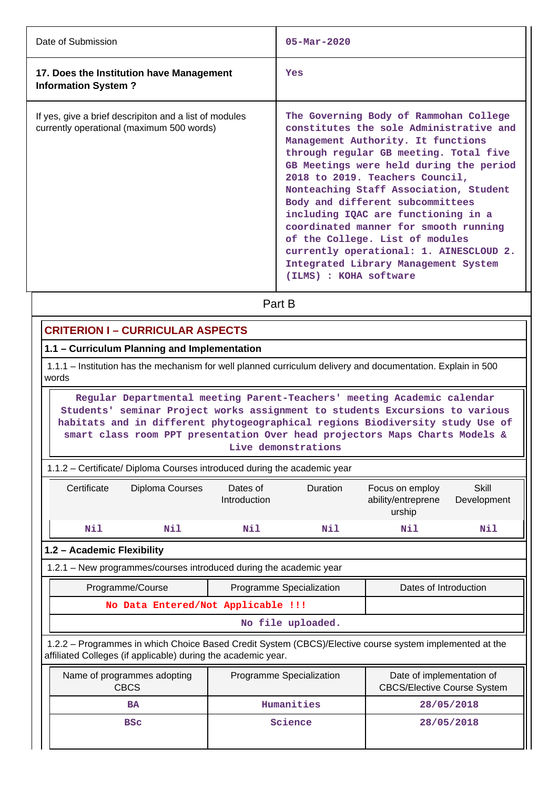| Date of Submission                                                                                  | $05 - \text{Mar} - 2020$                                                                                                                                                                                                                                                                                                                                                                                                                                                                                                                                      |
|-----------------------------------------------------------------------------------------------------|---------------------------------------------------------------------------------------------------------------------------------------------------------------------------------------------------------------------------------------------------------------------------------------------------------------------------------------------------------------------------------------------------------------------------------------------------------------------------------------------------------------------------------------------------------------|
| 17. Does the Institution have Management<br><b>Information System?</b>                              | Yes                                                                                                                                                                                                                                                                                                                                                                                                                                                                                                                                                           |
| If yes, give a brief descripiton and a list of modules<br>currently operational (maximum 500 words) | The Governing Body of Rammohan College<br>constitutes the sole Administrative and<br>Management Authority. It functions<br>through regular GB meeting. Total five<br>GB Meetings were held during the period<br>2018 to 2019. Teachers Council,<br>Nonteaching Staff Association, Student<br>Body and different subcommittees<br>including IQAC are functioning in a<br>coordinated manner for smooth running<br>of the College. List of modules<br>currently operational: 1. AINESCLOUD 2.<br>Integrated Library Management System<br>(ILMS) : KOHA software |
|                                                                                                     | Part B                                                                                                                                                                                                                                                                                                                                                                                                                                                                                                                                                        |

## **CRITERION I – CURRICULAR ASPECTS**

**1.1 – Curriculum Planning and Implementation**

 1.1.1 – Institution has the mechanism for well planned curriculum delivery and documentation. Explain in 500 words

 **Regular Departmental meeting Parent-Teachers' meeting Academic calendar Students' seminar Project works assignment to students Excursions to various habitats and in different phytogeographical regions Biodiversity study Use of smart class room PPT presentation Over head projectors Maps Charts Models & Live demonstrations**

| 1.1.2 – Certificate/ Diploma Courses introduced during the academic year                                                                          |                                                                    |                          |  |                                                                                                         |  |  |  |  |  |  |  |
|---------------------------------------------------------------------------------------------------------------------------------------------------|--------------------------------------------------------------------|--------------------------|--|---------------------------------------------------------------------------------------------------------|--|--|--|--|--|--|--|
| Skill<br>Certificate<br>Diploma Courses<br>Duration<br>Dates of<br>Focus on employ<br>Introduction<br>ability/entreprene<br>Development<br>urship |                                                                    |                          |  |                                                                                                         |  |  |  |  |  |  |  |
| Nil<br>Nil<br>Nil<br>Nil<br>Nil<br>Nil                                                                                                            |                                                                    |                          |  |                                                                                                         |  |  |  |  |  |  |  |
| 1.2 - Academic Flexibility                                                                                                                        |                                                                    |                          |  |                                                                                                         |  |  |  |  |  |  |  |
|                                                                                                                                                   | 1.2.1 - New programmes/courses introduced during the academic year |                          |  |                                                                                                         |  |  |  |  |  |  |  |
|                                                                                                                                                   | Programme/Course                                                   | Programme Specialization |  | Dates of Introduction                                                                                   |  |  |  |  |  |  |  |
|                                                                                                                                                   | No Data Entered/Not Applicable !!!                                 |                          |  |                                                                                                         |  |  |  |  |  |  |  |
| No file uploaded.                                                                                                                                 |                                                                    |                          |  |                                                                                                         |  |  |  |  |  |  |  |
|                                                                                                                                                   | affiliated Colleges (if applicable) during the academic year.      |                          |  | 1.2.2 – Programmes in which Choice Based Credit System (CBCS)/Elective course system implemented at the |  |  |  |  |  |  |  |

| Name of programmes adopting<br><b>CBCS</b> | Programme Specialization | Date of implementation of<br><b>CBCS/Elective Course System</b> |
|--------------------------------------------|--------------------------|-----------------------------------------------------------------|
| <b>BA</b>                                  | Humanities               | 28/05/2018                                                      |
| <b>BSC</b>                                 | Science                  | 28/05/2018                                                      |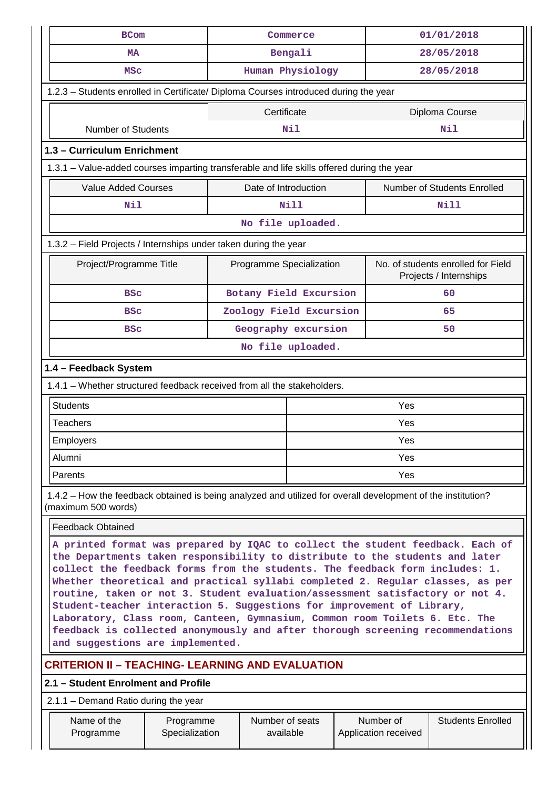| <b>BCom</b>                                                                                                                                                                                                                                                                                                                                                                                                                                                                                                                                                                                                                                                                                      |  |                          | Commerce         |  | 01/01/2018 |                                                              |  |  |
|--------------------------------------------------------------------------------------------------------------------------------------------------------------------------------------------------------------------------------------------------------------------------------------------------------------------------------------------------------------------------------------------------------------------------------------------------------------------------------------------------------------------------------------------------------------------------------------------------------------------------------------------------------------------------------------------------|--|--------------------------|------------------|--|------------|--------------------------------------------------------------|--|--|
| <b>MA</b>                                                                                                                                                                                                                                                                                                                                                                                                                                                                                                                                                                                                                                                                                        |  |                          | Bengali          |  |            | 28/05/2018                                                   |  |  |
| <b>MSC</b>                                                                                                                                                                                                                                                                                                                                                                                                                                                                                                                                                                                                                                                                                       |  |                          | Human Physiology |  |            | 28/05/2018                                                   |  |  |
| 1.2.3 - Students enrolled in Certificate/ Diploma Courses introduced during the year                                                                                                                                                                                                                                                                                                                                                                                                                                                                                                                                                                                                             |  |                          |                  |  |            |                                                              |  |  |
|                                                                                                                                                                                                                                                                                                                                                                                                                                                                                                                                                                                                                                                                                                  |  | Certificate              |                  |  |            | Diploma Course                                               |  |  |
| <b>Number of Students</b>                                                                                                                                                                                                                                                                                                                                                                                                                                                                                                                                                                                                                                                                        |  |                          | Nil              |  |            | Nil                                                          |  |  |
| 1.3 - Curriculum Enrichment                                                                                                                                                                                                                                                                                                                                                                                                                                                                                                                                                                                                                                                                      |  |                          |                  |  |            |                                                              |  |  |
| 1.3.1 – Value-added courses imparting transferable and life skills offered during the year                                                                                                                                                                                                                                                                                                                                                                                                                                                                                                                                                                                                       |  |                          |                  |  |            |                                                              |  |  |
| <b>Value Added Courses</b>                                                                                                                                                                                                                                                                                                                                                                                                                                                                                                                                                                                                                                                                       |  | Date of Introduction     |                  |  |            | <b>Number of Students Enrolled</b>                           |  |  |
| Nil                                                                                                                                                                                                                                                                                                                                                                                                                                                                                                                                                                                                                                                                                              |  |                          | <b>Nill</b>      |  |            | <b>Nill</b>                                                  |  |  |
|                                                                                                                                                                                                                                                                                                                                                                                                                                                                                                                                                                                                                                                                                                  |  | No file uploaded.        |                  |  |            |                                                              |  |  |
| 1.3.2 - Field Projects / Internships under taken during the year                                                                                                                                                                                                                                                                                                                                                                                                                                                                                                                                                                                                                                 |  |                          |                  |  |            |                                                              |  |  |
| Project/Programme Title                                                                                                                                                                                                                                                                                                                                                                                                                                                                                                                                                                                                                                                                          |  | Programme Specialization |                  |  |            | No. of students enrolled for Field<br>Projects / Internships |  |  |
| <b>BSC</b>                                                                                                                                                                                                                                                                                                                                                                                                                                                                                                                                                                                                                                                                                       |  | Botany Field Excursion   |                  |  |            | 60                                                           |  |  |
| <b>BSC</b>                                                                                                                                                                                                                                                                                                                                                                                                                                                                                                                                                                                                                                                                                       |  | Zoology Field Excursion  |                  |  |            | 65                                                           |  |  |
| <b>BSC</b>                                                                                                                                                                                                                                                                                                                                                                                                                                                                                                                                                                                                                                                                                       |  | Geography excursion      |                  |  | 50         |                                                              |  |  |
|                                                                                                                                                                                                                                                                                                                                                                                                                                                                                                                                                                                                                                                                                                  |  | No file uploaded.        |                  |  |            |                                                              |  |  |
| 1.4 - Feedback System                                                                                                                                                                                                                                                                                                                                                                                                                                                                                                                                                                                                                                                                            |  |                          |                  |  |            |                                                              |  |  |
| 1.4.1 – Whether structured feedback received from all the stakeholders.                                                                                                                                                                                                                                                                                                                                                                                                                                                                                                                                                                                                                          |  |                          |                  |  |            |                                                              |  |  |
| <b>Students</b>                                                                                                                                                                                                                                                                                                                                                                                                                                                                                                                                                                                                                                                                                  |  |                          |                  |  | Yes        |                                                              |  |  |
| <b>Teachers</b>                                                                                                                                                                                                                                                                                                                                                                                                                                                                                                                                                                                                                                                                                  |  |                          |                  |  | Yes        |                                                              |  |  |
| Employers                                                                                                                                                                                                                                                                                                                                                                                                                                                                                                                                                                                                                                                                                        |  |                          |                  |  | Yes        |                                                              |  |  |
| Alumni                                                                                                                                                                                                                                                                                                                                                                                                                                                                                                                                                                                                                                                                                           |  |                          |                  |  | Yes        |                                                              |  |  |
| Parents                                                                                                                                                                                                                                                                                                                                                                                                                                                                                                                                                                                                                                                                                          |  |                          |                  |  | Yes        |                                                              |  |  |
| 1.4.2 – How the feedback obtained is being analyzed and utilized for overall development of the institution?<br>(maximum 500 words)                                                                                                                                                                                                                                                                                                                                                                                                                                                                                                                                                              |  |                          |                  |  |            |                                                              |  |  |
| <b>Feedback Obtained</b>                                                                                                                                                                                                                                                                                                                                                                                                                                                                                                                                                                                                                                                                         |  |                          |                  |  |            |                                                              |  |  |
| A printed format was prepared by IQAC to collect the student feedback. Each of<br>the Departments taken responsibility to distribute to the students and later<br>collect the feedback forms from the students. The feedback form includes: 1.<br>Whether theoretical and practical syllabi completed 2. Regular classes, as per<br>routine, taken or not 3. Student evaluation/assessment satisfactory or not 4.<br>Student-teacher interaction 5. Suggestions for improvement of Library,<br>Laboratory, Class room, Canteen, Gymnasium, Common room Toilets 6. Etc. The<br>feedback is collected anonymously and after thorough screening recommendations<br>and suggestions are implemented. |  |                          |                  |  |            |                                                              |  |  |
| <b>CRITERION II - TEACHING- LEARNING AND EVALUATION</b>                                                                                                                                                                                                                                                                                                                                                                                                                                                                                                                                                                                                                                          |  |                          |                  |  |            |                                                              |  |  |
| 2.1 – Student Enrolment and Profile                                                                                                                                                                                                                                                                                                                                                                                                                                                                                                                                                                                                                                                              |  |                          |                  |  |            |                                                              |  |  |
| 2.1.1 - Demand Ratio during the year                                                                                                                                                                                                                                                                                                                                                                                                                                                                                                                                                                                                                                                             |  |                          |                  |  |            |                                                              |  |  |
|                                                                                                                                                                                                                                                                                                                                                                                                                                                                                                                                                                                                                                                                                                  |  |                          |                  |  |            |                                                              |  |  |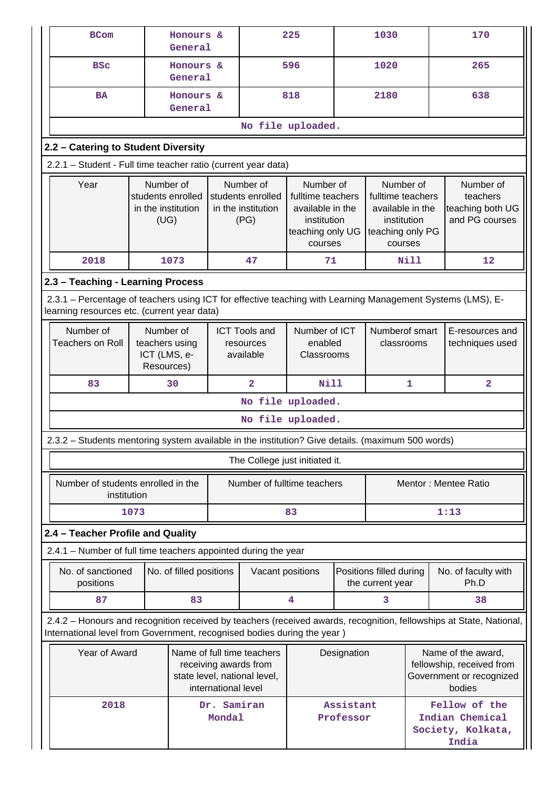| <b>BCom</b>                                                                                                                                                                                    |                                                              | Honours &<br>General    |                                                              |                                                | 225                                                                                              |                        | 1030                                                                                             |                                                                                       | 170                                                         |
|------------------------------------------------------------------------------------------------------------------------------------------------------------------------------------------------|--------------------------------------------------------------|-------------------------|--------------------------------------------------------------|------------------------------------------------|--------------------------------------------------------------------------------------------------|------------------------|--------------------------------------------------------------------------------------------------|---------------------------------------------------------------------------------------|-------------------------------------------------------------|
| <b>BSC</b>                                                                                                                                                                                     |                                                              | Honours &<br>General    |                                                              |                                                | 596                                                                                              |                        | 1020                                                                                             |                                                                                       | 265                                                         |
| <b>BA</b>                                                                                                                                                                                      |                                                              | Honours &<br>General    |                                                              |                                                | 818                                                                                              |                        | 2180                                                                                             |                                                                                       | 638                                                         |
|                                                                                                                                                                                                |                                                              |                         |                                                              | No file uploaded.                              |                                                                                                  |                        |                                                                                                  |                                                                                       |                                                             |
| 2.2 - Catering to Student Diversity                                                                                                                                                            |                                                              |                         |                                                              |                                                |                                                                                                  |                        |                                                                                                  |                                                                                       |                                                             |
| 2.2.1 - Student - Full time teacher ratio (current year data)                                                                                                                                  |                                                              |                         |                                                              |                                                |                                                                                                  |                        |                                                                                                  |                                                                                       |                                                             |
| Year                                                                                                                                                                                           | Number of<br>students enrolled<br>in the institution<br>(UG) |                         | Number of<br>students enrolled<br>in the institution<br>(PG) |                                                | Number of<br>fulltime teachers<br>available in the<br>institution<br>teaching only UG<br>courses |                        | Number of<br>fulltime teachers<br>available in the<br>institution<br>teaching only PG<br>courses |                                                                                       | Number of<br>teachers<br>teaching both UG<br>and PG courses |
| 2018                                                                                                                                                                                           | 1073                                                         |                         |                                                              | 47                                             | 71                                                                                               |                        |                                                                                                  | <b>Nill</b>                                                                           | 12                                                          |
| 2.3 - Teaching - Learning Process                                                                                                                                                              |                                                              |                         |                                                              |                                                |                                                                                                  |                        |                                                                                                  |                                                                                       |                                                             |
| 2.3.1 – Percentage of teachers using ICT for effective teaching with Learning Management Systems (LMS), E-<br>learning resources etc. (current year data)                                      |                                                              |                         |                                                              |                                                |                                                                                                  |                        |                                                                                                  |                                                                                       |                                                             |
| Number of<br><b>Teachers on Roll</b>                                                                                                                                                           | Number of<br>teachers using<br>ICT (LMS, e-<br>Resources)    |                         |                                                              | <b>ICT Tools and</b><br>resources<br>available | Number of ICT<br>enabled<br>Classrooms                                                           |                        | Numberof smart<br>classrooms                                                                     |                                                                                       | E-resources and<br>techniques used                          |
| 83                                                                                                                                                                                             | 30                                                           |                         |                                                              | $\overline{\mathbf{2}}$                        | <b>Nill</b>                                                                                      |                        |                                                                                                  | $\mathbf{1}$                                                                          | $\overline{\mathbf{2}}$                                     |
|                                                                                                                                                                                                |                                                              |                         |                                                              | No file uploaded.                              |                                                                                                  |                        |                                                                                                  |                                                                                       |                                                             |
|                                                                                                                                                                                                |                                                              |                         |                                                              | No file uploaded.                              |                                                                                                  |                        |                                                                                                  |                                                                                       |                                                             |
| 2.3.2 - Students mentoring system available in the institution? Give details. (maximum 500 words)                                                                                              |                                                              |                         |                                                              |                                                |                                                                                                  |                        |                                                                                                  |                                                                                       |                                                             |
|                                                                                                                                                                                                |                                                              |                         |                                                              | The College just initiated it.                 |                                                                                                  |                        |                                                                                                  |                                                                                       |                                                             |
| Number of students enrolled in the<br>institution                                                                                                                                              |                                                              |                         |                                                              | Number of fulltime teachers                    |                                                                                                  |                        | Mentor: Mentee Ratio                                                                             |                                                                                       |                                                             |
|                                                                                                                                                                                                | 1073                                                         |                         |                                                              |                                                | 83                                                                                               |                        |                                                                                                  |                                                                                       | 1:13                                                        |
| 2.4 - Teacher Profile and Quality                                                                                                                                                              |                                                              |                         |                                                              |                                                |                                                                                                  |                        |                                                                                                  |                                                                                       |                                                             |
| 2.4.1 - Number of full time teachers appointed during the year                                                                                                                                 |                                                              |                         |                                                              |                                                |                                                                                                  |                        |                                                                                                  |                                                                                       |                                                             |
| No. of sanctioned<br>positions                                                                                                                                                                 |                                                              | No. of filled positions |                                                              | Vacant positions                               |                                                                                                  |                        | Positions filled during<br>the current year                                                      |                                                                                       | No. of faculty with<br>Ph.D                                 |
| 87                                                                                                                                                                                             |                                                              | 83                      |                                                              |                                                | 4                                                                                                | 3                      |                                                                                                  |                                                                                       | 38                                                          |
| 2.4.2 - Honours and recognition received by teachers (received awards, recognition, fellowships at State, National,<br>International level from Government, recognised bodies during the year) |                                                              |                         |                                                              |                                                |                                                                                                  |                        |                                                                                                  |                                                                                       |                                                             |
| Year of Award<br>Name of full time teachers<br>receiving awards from<br>state level, national level,<br>international level                                                                    |                                                              |                         |                                                              |                                                |                                                                                                  | Designation            |                                                                                                  | Name of the award,<br>fellowship, received from<br>Government or recognized<br>bodies |                                                             |
| 2018                                                                                                                                                                                           |                                                              |                         | Dr. Samiran<br>Mondal                                        |                                                |                                                                                                  | Assistant<br>Professor |                                                                                                  | Fellow of the<br>Indian Chemical<br>Society, Kolkata,<br>India                        |                                                             |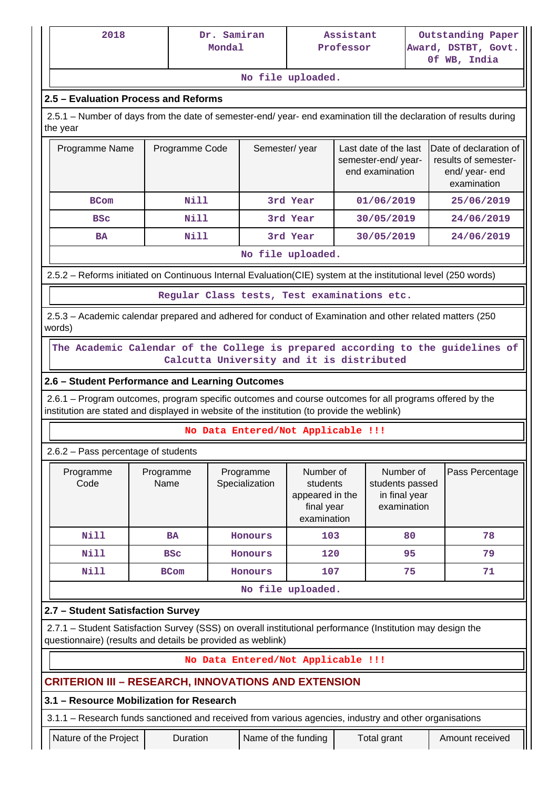| 2018<br>Dr. Samiran<br>Mondal                                                                                                                                                                          |                   |                                             |                                                                       | Assistant<br>Award, DSTBT, Govt.<br>Professor<br>Of WB, India |                                                                |    | Outstanding Paper                                                               |  |  |  |  |  |
|--------------------------------------------------------------------------------------------------------------------------------------------------------------------------------------------------------|-------------------|---------------------------------------------|-----------------------------------------------------------------------|---------------------------------------------------------------|----------------------------------------------------------------|----|---------------------------------------------------------------------------------|--|--|--|--|--|
|                                                                                                                                                                                                        |                   |                                             | No file uploaded.                                                     |                                                               |                                                                |    |                                                                                 |  |  |  |  |  |
| 2.5 - Evaluation Process and Reforms                                                                                                                                                                   |                   |                                             |                                                                       |                                                               |                                                                |    |                                                                                 |  |  |  |  |  |
| 2.5.1 – Number of days from the date of semester-end/ year- end examination till the declaration of results during<br>the year                                                                         |                   |                                             |                                                                       |                                                               |                                                                |    |                                                                                 |  |  |  |  |  |
| Programme Name                                                                                                                                                                                         | Programme Code    |                                             | Semester/year                                                         |                                                               | Last date of the last<br>semester-end/year-<br>end examination |    | Date of declaration of<br>results of semester-<br>end/ year- end<br>examination |  |  |  |  |  |
| <b>BCom</b>                                                                                                                                                                                            | Nill              |                                             | 3rd Year                                                              |                                                               | 01/06/2019                                                     |    | 25/06/2019                                                                      |  |  |  |  |  |
| <b>BSC</b>                                                                                                                                                                                             | Nill              |                                             | 3rd Year                                                              |                                                               | 30/05/2019                                                     |    | 24/06/2019                                                                      |  |  |  |  |  |
| <b>BA</b>                                                                                                                                                                                              | <b>Nill</b>       |                                             | 3rd Year                                                              |                                                               | 30/05/2019                                                     |    | 24/06/2019                                                                      |  |  |  |  |  |
|                                                                                                                                                                                                        |                   |                                             | No file uploaded.                                                     |                                                               |                                                                |    |                                                                                 |  |  |  |  |  |
| 2.5.2 - Reforms initiated on Continuous Internal Evaluation(CIE) system at the institutional level (250 words)                                                                                         |                   |                                             |                                                                       |                                                               |                                                                |    |                                                                                 |  |  |  |  |  |
|                                                                                                                                                                                                        |                   | Regular Class tests, Test examinations etc. |                                                                       |                                                               |                                                                |    |                                                                                 |  |  |  |  |  |
| 2.5.3 – Academic calendar prepared and adhered for conduct of Examination and other related matters (250)<br>words)                                                                                    |                   |                                             |                                                                       |                                                               |                                                                |    |                                                                                 |  |  |  |  |  |
| The Academic Calendar of the College is prepared according to the guidelines of<br>2.6 - Student Performance and Learning Outcomes                                                                     |                   | Calcutta University and it is distributed   |                                                                       |                                                               |                                                                |    |                                                                                 |  |  |  |  |  |
| 2.6.1 – Program outcomes, program specific outcomes and course outcomes for all programs offered by the<br>institution are stated and displayed in website of the institution (to provide the weblink) |                   |                                             |                                                                       |                                                               |                                                                |    |                                                                                 |  |  |  |  |  |
| $2.6.2$ – Pass percentage of students                                                                                                                                                                  |                   | No Data Entered/Not Applicable !!!          |                                                                       |                                                               |                                                                |    |                                                                                 |  |  |  |  |  |
| Programme<br>Code                                                                                                                                                                                      | Programme<br>Name | Programme<br>Specialization                 | Number of<br>students<br>appeared in the<br>final year<br>examination |                                                               | Number of<br>students passed<br>in final year<br>examination   |    | Pass Percentage                                                                 |  |  |  |  |  |
| Nill                                                                                                                                                                                                   | <b>BA</b>         | Honours                                     | 103                                                                   |                                                               |                                                                | 80 | 78                                                                              |  |  |  |  |  |
| <b>Nill</b>                                                                                                                                                                                            | <b>BSC</b>        | Honours                                     | 120                                                                   |                                                               |                                                                | 95 | 79                                                                              |  |  |  |  |  |
| <b>Nill</b>                                                                                                                                                                                            | <b>BCom</b>       | Honours                                     | 107                                                                   |                                                               |                                                                | 75 | 71                                                                              |  |  |  |  |  |
|                                                                                                                                                                                                        |                   |                                             | No file uploaded.                                                     |                                                               |                                                                |    |                                                                                 |  |  |  |  |  |
| 2.7 - Student Satisfaction Survey                                                                                                                                                                      |                   |                                             |                                                                       |                                                               |                                                                |    |                                                                                 |  |  |  |  |  |
| 2.7.1 - Student Satisfaction Survey (SSS) on overall institutional performance (Institution may design the<br>questionnaire) (results and details be provided as weblink)                              |                   |                                             |                                                                       |                                                               |                                                                |    |                                                                                 |  |  |  |  |  |
|                                                                                                                                                                                                        |                   | No Data Entered/Not Applicable !!!          |                                                                       |                                                               |                                                                |    |                                                                                 |  |  |  |  |  |
| <b>CRITERION III - RESEARCH, INNOVATIONS AND EXTENSION</b>                                                                                                                                             |                   |                                             |                                                                       |                                                               |                                                                |    |                                                                                 |  |  |  |  |  |
| 3.1 - Resource Mobilization for Research                                                                                                                                                               |                   |                                             |                                                                       |                                                               |                                                                |    |                                                                                 |  |  |  |  |  |
| 3.1.1 - Research funds sanctioned and received from various agencies, industry and other organisations                                                                                                 |                   |                                             |                                                                       |                                                               |                                                                |    |                                                                                 |  |  |  |  |  |
| Nature of the Project                                                                                                                                                                                  | Duration          |                                             | Name of the funding                                                   |                                                               | Total grant                                                    |    | Amount received                                                                 |  |  |  |  |  |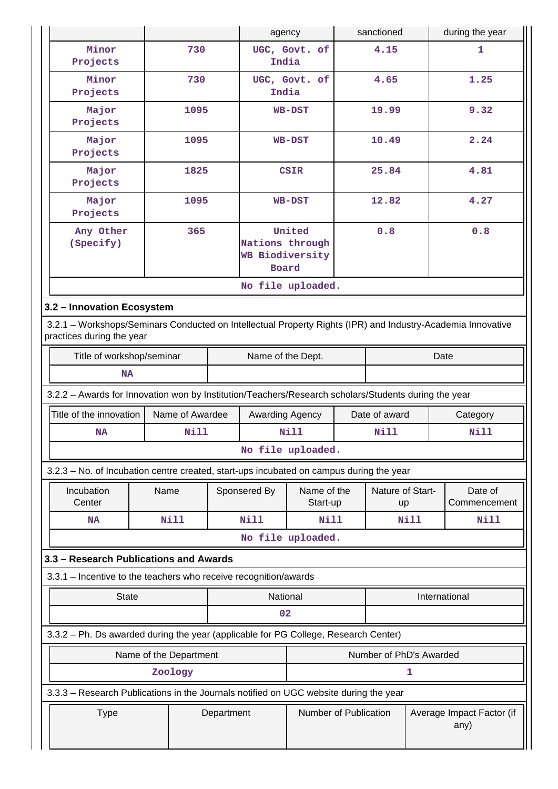|           |                                                                                                                                          |                        |            | agency                 |                                                                     |       | sanctioned              |      | during the year                   |
|-----------|------------------------------------------------------------------------------------------------------------------------------------------|------------------------|------------|------------------------|---------------------------------------------------------------------|-------|-------------------------|------|-----------------------------------|
|           | Minor<br>Projects                                                                                                                        | 730                    |            | India                  | UGC, Govt. of                                                       |       | 4.15                    |      | 1                                 |
|           | Minor<br>Projects                                                                                                                        | 730                    |            | UGC, Govt. of<br>India |                                                                     | 4.65  |                         | 1.25 |                                   |
|           | Major<br>Projects                                                                                                                        | 1095                   |            | <b>WB-DST</b>          |                                                                     |       | 19.99                   |      | 9.32                              |
|           | Major<br>Projects                                                                                                                        | 1095                   |            |                        | <b>WB-DST</b>                                                       | 10.49 |                         |      | 2.24                              |
|           | Major<br>Projects                                                                                                                        | 1825                   |            |                        | <b>CSIR</b>                                                         | 25.84 |                         |      | 4.81                              |
|           | Major<br>Projects                                                                                                                        | 1095                   |            |                        | <b>WB-DST</b>                                                       |       | 12.82                   |      | 4.27                              |
|           | Any Other<br>(Specify)                                                                                                                   | 365                    |            |                        | United<br>0.8<br>Nations through<br><b>WB Biodiversity</b><br>Board |       |                         | 0.8  |                                   |
|           |                                                                                                                                          |                        |            |                        | No file uploaded.                                                   |       |                         |      |                                   |
|           | 3.2 - Innovation Ecosystem                                                                                                               |                        |            |                        |                                                                     |       |                         |      |                                   |
|           | 3.2.1 - Workshops/Seminars Conducted on Intellectual Property Rights (IPR) and Industry-Academia Innovative<br>practices during the year |                        |            |                        |                                                                     |       |                         |      |                                   |
|           | Title of workshop/seminar<br>Name of the Dept.<br>Date                                                                                   |                        |            |                        |                                                                     |       |                         |      |                                   |
| <b>NA</b> |                                                                                                                                          |                        |            |                        |                                                                     |       |                         |      |                                   |
|           | 3.2.2 - Awards for Innovation won by Institution/Teachers/Research scholars/Students during the year                                     |                        |            |                        |                                                                     |       |                         |      |                                   |
|           | Title of the innovation                                                                                                                  | Name of Awardee        |            | Awarding Agency        |                                                                     |       | Date of award           |      | Category                          |
|           | <b>NA</b>                                                                                                                                | <b>Nill</b>            |            |                        | <b>Nill</b>                                                         |       | <b>Nill</b>             |      | <b>Nill</b>                       |
|           |                                                                                                                                          |                        |            |                        | No file uploaded.                                                   |       |                         |      |                                   |
|           | 3.2.3 - No. of Incubation centre created, start-ups incubated on campus during the year                                                  |                        |            |                        |                                                                     |       |                         |      |                                   |
|           | Incubation<br>Center                                                                                                                     | Name                   |            | Sponsered By           | Name of the<br>Start-up                                             |       | Nature of Start-<br>up  |      | Date of<br>Commencement           |
|           | <b>NA</b>                                                                                                                                | Nill                   |            | Nill                   | <b>Nill</b>                                                         |       |                         | Nill | <b>Nill</b>                       |
|           |                                                                                                                                          |                        |            |                        | No file uploaded.                                                   |       |                         |      |                                   |
|           | 3.3 - Research Publications and Awards                                                                                                   |                        |            |                        |                                                                     |       |                         |      |                                   |
|           | 3.3.1 - Incentive to the teachers who receive recognition/awards                                                                         |                        |            |                        |                                                                     |       |                         |      |                                   |
|           | <b>State</b>                                                                                                                             |                        |            | National               |                                                                     |       |                         |      | International                     |
|           | 02                                                                                                                                       |                        |            |                        |                                                                     |       |                         |      |                                   |
|           | 3.3.2 - Ph. Ds awarded during the year (applicable for PG College, Research Center)                                                      |                        |            |                        |                                                                     |       |                         |      |                                   |
|           |                                                                                                                                          | Name of the Department |            |                        |                                                                     |       | Number of PhD's Awarded |      |                                   |
|           |                                                                                                                                          | Zoology                |            |                        |                                                                     |       |                         | 1    |                                   |
|           | 3.3.3 - Research Publications in the Journals notified on UGC website during the year                                                    |                        |            |                        |                                                                     |       |                         |      |                                   |
|           | <b>Type</b>                                                                                                                              |                        | Department |                        | Number of Publication                                               |       |                         |      | Average Impact Factor (if<br>any) |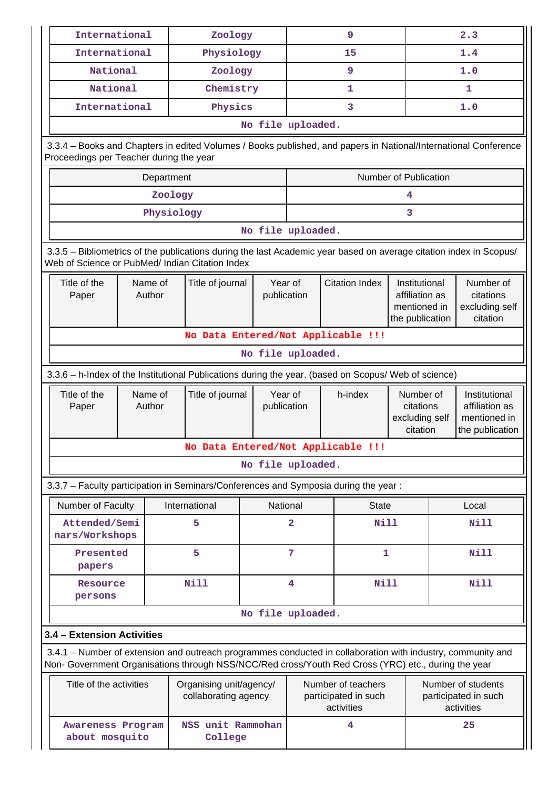| International                                                                                                                                                         |                   | Zoology                                         |                        |                                                          | 9                                                                                                               |                                                                    |                                                          | 2.3                                                                |  |  |
|-----------------------------------------------------------------------------------------------------------------------------------------------------------------------|-------------------|-------------------------------------------------|------------------------|----------------------------------------------------------|-----------------------------------------------------------------------------------------------------------------|--------------------------------------------------------------------|----------------------------------------------------------|--------------------------------------------------------------------|--|--|
| International                                                                                                                                                         |                   | Physiology                                      |                        |                                                          | 15                                                                                                              |                                                                    |                                                          | 1.4                                                                |  |  |
| National                                                                                                                                                              |                   | Zoology                                         |                        |                                                          | 9                                                                                                               |                                                                    |                                                          | 1.0                                                                |  |  |
| National                                                                                                                                                              |                   |                                                 | Chemistry              |                                                          | 1                                                                                                               |                                                                    | 1                                                        |                                                                    |  |  |
| International                                                                                                                                                         |                   | Physics                                         |                        |                                                          | 3                                                                                                               |                                                                    | 1.0                                                      |                                                                    |  |  |
|                                                                                                                                                                       |                   |                                                 | No file uploaded.      |                                                          |                                                                                                                 |                                                                    |                                                          |                                                                    |  |  |
| Proceedings per Teacher during the year                                                                                                                               |                   |                                                 |                        |                                                          | 3.3.4 - Books and Chapters in edited Volumes / Books published, and papers in National/International Conference |                                                                    |                                                          |                                                                    |  |  |
| Number of Publication<br>Department                                                                                                                                   |                   |                                                 |                        |                                                          |                                                                                                                 |                                                                    |                                                          |                                                                    |  |  |
|                                                                                                                                                                       |                   | Zoology                                         |                        |                                                          |                                                                                                                 | 4                                                                  |                                                          |                                                                    |  |  |
|                                                                                                                                                                       |                   | Physiology                                      |                        |                                                          |                                                                                                                 | 3                                                                  |                                                          |                                                                    |  |  |
|                                                                                                                                                                       |                   |                                                 | No file uploaded.      |                                                          |                                                                                                                 |                                                                    |                                                          |                                                                    |  |  |
| 3.3.5 - Bibliometrics of the publications during the last Academic year based on average citation index in Scopus/<br>Web of Science or PubMed/ Indian Citation Index |                   |                                                 |                        |                                                          |                                                                                                                 |                                                                    |                                                          |                                                                    |  |  |
| Title of the<br>Paper                                                                                                                                                 | Name of<br>Author | Title of journal                                | Year of<br>publication |                                                          | <b>Citation Index</b>                                                                                           | Institutional<br>affiliation as<br>mentioned in<br>the publication |                                                          | Number of<br>citations<br>excluding self<br>citation               |  |  |
|                                                                                                                                                                       |                   |                                                 |                        |                                                          | No Data Entered/Not Applicable !!!                                                                              |                                                                    |                                                          |                                                                    |  |  |
|                                                                                                                                                                       | No file uploaded. |                                                 |                        |                                                          |                                                                                                                 |                                                                    |                                                          |                                                                    |  |  |
| 3.3.6 - h-Index of the Institutional Publications during the year. (based on Scopus/ Web of science)                                                                  |                   |                                                 |                        |                                                          |                                                                                                                 |                                                                    |                                                          |                                                                    |  |  |
| Title of the<br>Paper                                                                                                                                                 | Name of<br>Author | Title of journal                                | Year of<br>publication |                                                          | h-index                                                                                                         | Number of<br>citations<br>excluding self<br>citation               |                                                          | Institutional<br>affiliation as<br>mentioned in<br>the publication |  |  |
|                                                                                                                                                                       |                   |                                                 |                        |                                                          | No Data Entered/Not Applicable !!!                                                                              |                                                                    |                                                          |                                                                    |  |  |
|                                                                                                                                                                       |                   |                                                 | No file uploaded.      |                                                          |                                                                                                                 |                                                                    |                                                          |                                                                    |  |  |
|                                                                                                                                                                       |                   |                                                 |                        |                                                          | 3.3.7 - Faculty participation in Seminars/Conferences and Symposia during the year:                             |                                                                    |                                                          |                                                                    |  |  |
| Number of Faculty                                                                                                                                                     |                   | International                                   |                        | National                                                 | <b>State</b>                                                                                                    |                                                                    |                                                          | Local                                                              |  |  |
| Attended/Semi<br>nars/Workshops                                                                                                                                       |                   | 5                                               |                        | $\overline{2}$                                           | <b>Nill</b>                                                                                                     |                                                                    |                                                          | <b>Nill</b>                                                        |  |  |
| Presented<br>papers                                                                                                                                                   |                   | 5                                               |                        | 7                                                        | $\mathbf{1}$                                                                                                    |                                                                    |                                                          | <b>Nill</b>                                                        |  |  |
| Resource<br>persons                                                                                                                                                   |                   | <b>Nill</b>                                     |                        | 4                                                        | <b>Nill</b>                                                                                                     |                                                                    |                                                          | <b>Nill</b>                                                        |  |  |
|                                                                                                                                                                       |                   |                                                 | No file uploaded.      |                                                          |                                                                                                                 |                                                                    |                                                          |                                                                    |  |  |
| 3.4 - Extension Activities                                                                                                                                            |                   |                                                 |                        |                                                          |                                                                                                                 |                                                                    |                                                          |                                                                    |  |  |
| Non- Government Organisations through NSS/NCC/Red cross/Youth Red Cross (YRC) etc., during the year                                                                   |                   |                                                 |                        |                                                          | 3.4.1 – Number of extension and outreach programmes conducted in collaboration with industry, community and     |                                                                    |                                                          |                                                                    |  |  |
| Title of the activities                                                                                                                                               |                   | Organising unit/agency/<br>collaborating agency |                        | Number of teachers<br>participated in such<br>activities |                                                                                                                 |                                                                    | Number of students<br>participated in such<br>activities |                                                                    |  |  |
| <b>Awareness Program</b><br>about mosquito                                                                                                                            |                   | NSS unit Rammohan<br>College                    |                        |                                                          | 4                                                                                                               |                                                                    |                                                          | 25                                                                 |  |  |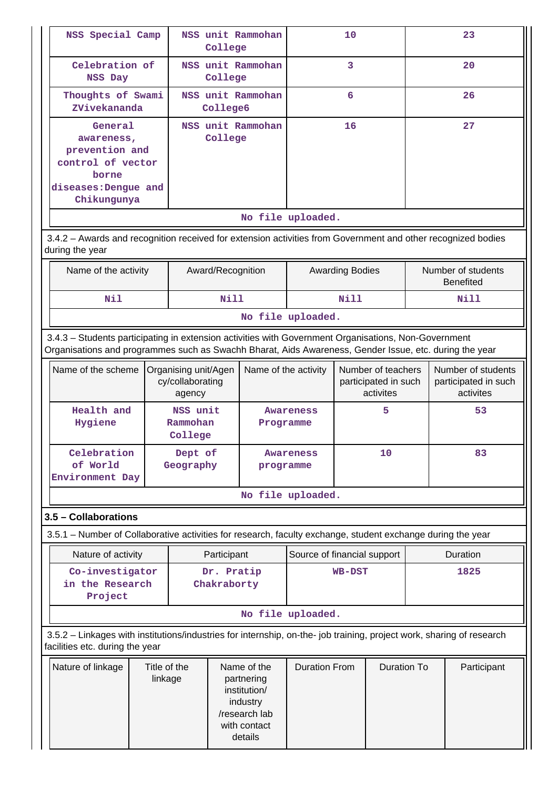| NSS Special Camp                                                                                                                                                                                               |                                                                                                                                                          |                                 | College                   | NSS unit Rammohan                                                                                 | 10                          |                                                         |                    |                                                         | 23                                     |  |
|----------------------------------------------------------------------------------------------------------------------------------------------------------------------------------------------------------------|----------------------------------------------------------------------------------------------------------------------------------------------------------|---------------------------------|---------------------------|---------------------------------------------------------------------------------------------------|-----------------------------|---------------------------------------------------------|--------------------|---------------------------------------------------------|----------------------------------------|--|
| Celebration of<br>NSS Day                                                                                                                                                                                      |                                                                                                                                                          |                                 | College                   | NSS unit Rammohan                                                                                 |                             | 3                                                       |                    |                                                         | 20                                     |  |
| Thoughts of Swami<br>ZVivekananda                                                                                                                                                                              |                                                                                                                                                          |                                 | College6                  | NSS unit Rammohan                                                                                 |                             | 6                                                       |                    |                                                         | 26                                     |  |
| General<br>awareness,<br>prevention and<br>control of vector<br>borne<br>diseases: Dengue and<br>Chikungunya                                                                                                   |                                                                                                                                                          |                                 | College                   | NSS unit Rammohan                                                                                 |                             | 16                                                      |                    |                                                         | 27                                     |  |
|                                                                                                                                                                                                                |                                                                                                                                                          |                                 |                           |                                                                                                   | No file uploaded.           |                                                         |                    |                                                         |                                        |  |
| 3.4.2 - Awards and recognition received for extension activities from Government and other recognized bodies<br>during the year                                                                                |                                                                                                                                                          |                                 |                           |                                                                                                   |                             |                                                         |                    |                                                         |                                        |  |
| Name of the activity                                                                                                                                                                                           |                                                                                                                                                          |                                 | Award/Recognition         |                                                                                                   |                             | <b>Awarding Bodies</b>                                  |                    |                                                         | Number of students<br><b>Benefited</b> |  |
| Nil                                                                                                                                                                                                            |                                                                                                                                                          |                                 | Nill                      |                                                                                                   |                             | Nill                                                    |                    |                                                         | Nill                                   |  |
|                                                                                                                                                                                                                |                                                                                                                                                          |                                 |                           |                                                                                                   | No file uploaded.           |                                                         |                    |                                                         |                                        |  |
| 3.4.3 - Students participating in extension activities with Government Organisations, Non-Government<br>Organisations and programmes such as Swachh Bharat, Aids Awareness, Gender Issue, etc. during the year |                                                                                                                                                          |                                 |                           |                                                                                                   |                             |                                                         |                    |                                                         |                                        |  |
| Name of the scheme                                                                                                                                                                                             | Name of the activity<br>Organising unit/Agen<br>cy/collaborating<br>agency                                                                               |                                 |                           |                                                                                                   |                             | Number of teachers<br>participated in such<br>activites |                    | Number of students<br>participated in such<br>activites |                                        |  |
| Health and<br>Hygiene                                                                                                                                                                                          |                                                                                                                                                          | NSS unit<br>Rammohan<br>College |                           | Programme                                                                                         | 5<br>Awareness              |                                                         |                    | 53                                                      |                                        |  |
| Celebration<br>of World<br>Environment Day                                                                                                                                                                     |                                                                                                                                                          | Dept of<br>Geography            |                           | programme                                                                                         | Awareness                   |                                                         | 10                 | 83                                                      |                                        |  |
|                                                                                                                                                                                                                |                                                                                                                                                          |                                 |                           |                                                                                                   | No file uploaded.           |                                                         |                    |                                                         |                                        |  |
| 3.5 - Collaborations                                                                                                                                                                                           |                                                                                                                                                          |                                 |                           |                                                                                                   |                             |                                                         |                    |                                                         |                                        |  |
| 3.5.1 – Number of Collaborative activities for research, faculty exchange, student exchange during the year                                                                                                    |                                                                                                                                                          |                                 |                           |                                                                                                   |                             |                                                         |                    |                                                         |                                        |  |
| Nature of activity                                                                                                                                                                                             |                                                                                                                                                          |                                 | Participant               |                                                                                                   | Source of financial support |                                                         |                    |                                                         | Duration                               |  |
| Co-investigator<br>in the Research<br>Project                                                                                                                                                                  |                                                                                                                                                          |                                 | Dr. Pratip<br>Chakraborty |                                                                                                   |                             | <b>WB-DST</b>                                           |                    |                                                         | 1825                                   |  |
|                                                                                                                                                                                                                |                                                                                                                                                          |                                 |                           |                                                                                                   | No file uploaded.           |                                                         |                    |                                                         |                                        |  |
|                                                                                                                                                                                                                | 3.5.2 - Linkages with institutions/industries for internship, on-the- job training, project work, sharing of research<br>facilities etc. during the year |                                 |                           |                                                                                                   |                             |                                                         |                    |                                                         |                                        |  |
| Nature of linkage                                                                                                                                                                                              | Title of the<br>linkage                                                                                                                                  |                                 |                           | Name of the<br>partnering<br>institution/<br>industry<br>/research lab<br>with contact<br>details | <b>Duration From</b>        |                                                         | <b>Duration To</b> |                                                         | Participant                            |  |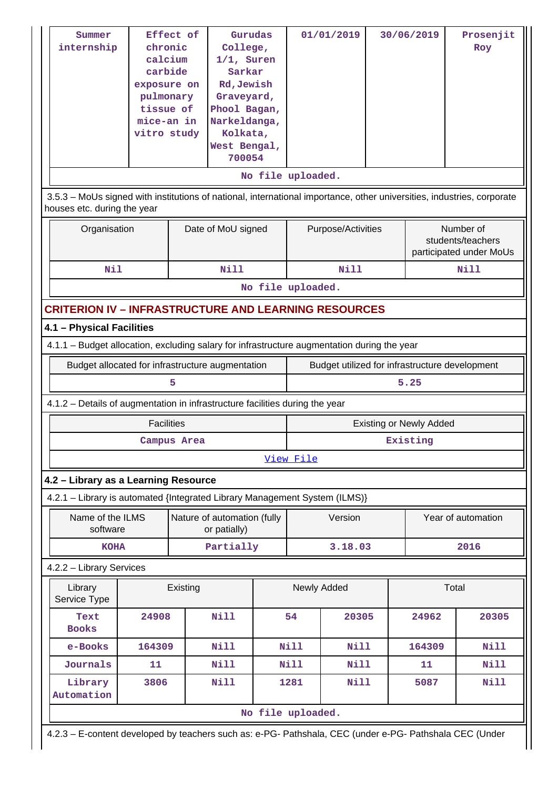| Summer<br>internship<br>houses etc. during the year                                         | chronic<br>calcium<br>carbide<br>exposure on<br>pulmonary<br>tissue of<br>mice-an in<br>vitro study | Effect of   | Gurudas<br>College,<br>$1/1$ , Suren<br>Sarkar<br>Rd, Jewish<br>Graveyard,<br>Phool Bagan,<br>Narkeldanga,<br>Kolkata,<br>West Bengal,<br>700054 | No file uploaded. |             | 01/01/2019         | 30/06/2019<br>3.5.3 - MoUs signed with institutions of national, international importance, other universities, industries, corporate |                                | Prosenjit<br>Roy                                          |
|---------------------------------------------------------------------------------------------|-----------------------------------------------------------------------------------------------------|-------------|--------------------------------------------------------------------------------------------------------------------------------------------------|-------------------|-------------|--------------------|--------------------------------------------------------------------------------------------------------------------------------------|--------------------------------|-----------------------------------------------------------|
| Organisation                                                                                |                                                                                                     |             | Date of MoU signed                                                                                                                               |                   |             | Purpose/Activities |                                                                                                                                      |                                | Number of<br>students/teachers<br>participated under MoUs |
| Nil                                                                                         |                                                                                                     |             | Nill                                                                                                                                             |                   |             | Nill               |                                                                                                                                      |                                | Nill                                                      |
|                                                                                             |                                                                                                     |             |                                                                                                                                                  | No file uploaded. |             |                    |                                                                                                                                      |                                |                                                           |
| <b>CRITERION IV – INFRASTRUCTURE AND LEARNING RESOURCES</b>                                 |                                                                                                     |             |                                                                                                                                                  |                   |             |                    |                                                                                                                                      |                                |                                                           |
| 4.1 - Physical Facilities                                                                   |                                                                                                     |             |                                                                                                                                                  |                   |             |                    |                                                                                                                                      |                                |                                                           |
| 4.1.1 - Budget allocation, excluding salary for infrastructure augmentation during the year |                                                                                                     |             |                                                                                                                                                  |                   |             |                    |                                                                                                                                      |                                |                                                           |
| Budget allocated for infrastructure augmentation                                            |                                                                                                     |             |                                                                                                                                                  |                   |             |                    |                                                                                                                                      |                                | Budget utilized for infrastructure development            |
|                                                                                             |                                                                                                     | 5           |                                                                                                                                                  |                   |             |                    |                                                                                                                                      | 5.25                           |                                                           |
| 4.1.2 - Details of augmentation in infrastructure facilities during the year                |                                                                                                     |             |                                                                                                                                                  |                   |             |                    |                                                                                                                                      |                                |                                                           |
|                                                                                             | <b>Facilities</b>                                                                                   |             |                                                                                                                                                  |                   |             |                    |                                                                                                                                      | <b>Existing or Newly Added</b> |                                                           |
|                                                                                             |                                                                                                     | Campus Area |                                                                                                                                                  |                   |             |                    |                                                                                                                                      | Existing                       |                                                           |
|                                                                                             |                                                                                                     |             |                                                                                                                                                  |                   | View File   |                    |                                                                                                                                      |                                |                                                           |
| 4.2 - Library as a Learning Resource                                                        |                                                                                                     |             |                                                                                                                                                  |                   |             |                    |                                                                                                                                      |                                |                                                           |
| 4.2.1 - Library is automated {Integrated Library Management System (ILMS)}                  |                                                                                                     |             |                                                                                                                                                  |                   |             |                    |                                                                                                                                      |                                |                                                           |
| Name of the ILMS<br>software                                                                |                                                                                                     |             | Nature of automation (fully<br>or patially)                                                                                                      |                   |             | Version            |                                                                                                                                      |                                | Year of automation                                        |
| <b>KOHA</b>                                                                                 |                                                                                                     |             | Partially                                                                                                                                        |                   |             | 3.18.03            |                                                                                                                                      |                                | 2016                                                      |
| 4.2.2 - Library Services                                                                    |                                                                                                     |             |                                                                                                                                                  |                   |             |                    |                                                                                                                                      |                                |                                                           |
| Library<br>Service Type                                                                     |                                                                                                     | Existing    |                                                                                                                                                  |                   | Newly Added |                    |                                                                                                                                      |                                | Total                                                     |
| Text<br><b>Books</b>                                                                        | 24908                                                                                               |             | Nill                                                                                                                                             |                   | 54          | 20305              |                                                                                                                                      | 24962                          | 20305                                                     |
| e-Books                                                                                     | 164309                                                                                              |             | Nill                                                                                                                                             |                   | <b>Nill</b> | Nill               |                                                                                                                                      | 164309                         | Nill                                                      |
| Journals                                                                                    | 11                                                                                                  |             | Nill                                                                                                                                             |                   | <b>Nill</b> | Nill               |                                                                                                                                      | 11                             | <b>Nill</b>                                               |
| Library<br>Automation                                                                       | 3806                                                                                                |             | <b>Nill</b>                                                                                                                                      |                   | 1281        | Nill               |                                                                                                                                      | 5087                           | <b>Nill</b>                                               |
|                                                                                             |                                                                                                     |             |                                                                                                                                                  | No file uploaded. |             |                    |                                                                                                                                      |                                |                                                           |
|                                                                                             |                                                                                                     |             |                                                                                                                                                  |                   |             |                    |                                                                                                                                      |                                |                                                           |

4.2.3 – E-content developed by teachers such as: e-PG- Pathshala, CEC (under e-PG- Pathshala CEC (Under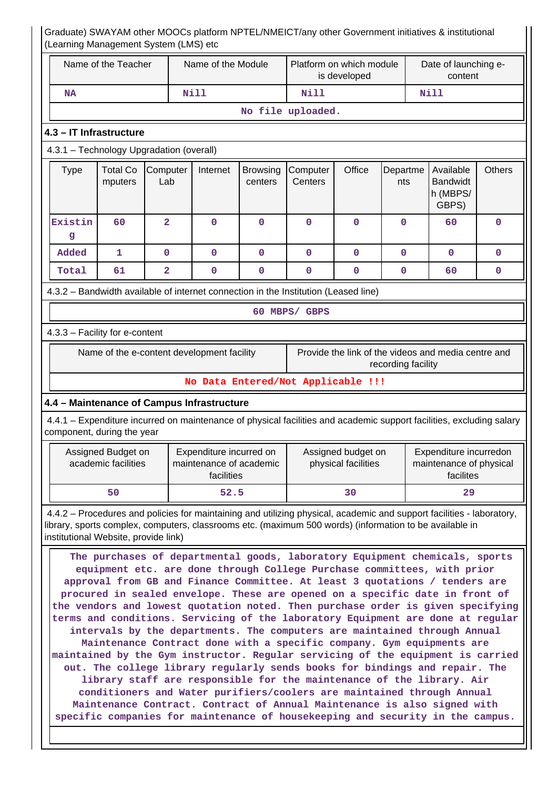|                                                                          | Name of the Teacher                       |                                                                                     | Name of the Module                                               |                            | Platform on which module           |                                           |                    | Date of launching e-<br>content                                                                                                                                                                                                                                                                                                                                                                                                                                                                                                                                                                                                                                                                                                                                                                                                                                                                                                                                        |               |  |
|--------------------------------------------------------------------------|-------------------------------------------|-------------------------------------------------------------------------------------|------------------------------------------------------------------|----------------------------|------------------------------------|-------------------------------------------|--------------------|------------------------------------------------------------------------------------------------------------------------------------------------------------------------------------------------------------------------------------------------------------------------------------------------------------------------------------------------------------------------------------------------------------------------------------------------------------------------------------------------------------------------------------------------------------------------------------------------------------------------------------------------------------------------------------------------------------------------------------------------------------------------------------------------------------------------------------------------------------------------------------------------------------------------------------------------------------------------|---------------|--|
|                                                                          |                                           |                                                                                     |                                                                  |                            |                                    | is developed                              |                    |                                                                                                                                                                                                                                                                                                                                                                                                                                                                                                                                                                                                                                                                                                                                                                                                                                                                                                                                                                        |               |  |
| <b>NA</b>                                                                |                                           |                                                                                     | Nill                                                             |                            | Nill                               |                                           |                    | <b>Nill</b>                                                                                                                                                                                                                                                                                                                                                                                                                                                                                                                                                                                                                                                                                                                                                                                                                                                                                                                                                            |               |  |
|                                                                          |                                           |                                                                                     |                                                                  |                            | No file uploaded.                  |                                           |                    |                                                                                                                                                                                                                                                                                                                                                                                                                                                                                                                                                                                                                                                                                                                                                                                                                                                                                                                                                                        |               |  |
|                                                                          | 4.3 - IT Infrastructure                   |                                                                                     |                                                                  |                            |                                    |                                           |                    |                                                                                                                                                                                                                                                                                                                                                                                                                                                                                                                                                                                                                                                                                                                                                                                                                                                                                                                                                                        |               |  |
|                                                                          |                                           | 4.3.1 - Technology Upgradation (overall)                                            |                                                                  |                            |                                    |                                           |                    |                                                                                                                                                                                                                                                                                                                                                                                                                                                                                                                                                                                                                                                                                                                                                                                                                                                                                                                                                                        |               |  |
| <b>Type</b>                                                              | <b>Total Co</b><br>mputers                | Computer<br>Lab                                                                     | Internet                                                         | <b>Browsing</b><br>centers | Computer<br>Centers                | Office                                    | Departme<br>nts    | Available<br><b>Bandwidt</b><br>h (MBPS/<br>GBPS)                                                                                                                                                                                                                                                                                                                                                                                                                                                                                                                                                                                                                                                                                                                                                                                                                                                                                                                      | <b>Others</b> |  |
| Existin<br>g                                                             | 60                                        | $\overline{2}$                                                                      | 0                                                                | $\mathbf 0$                | $\mathbf 0$                        | $\mathbf 0$                               | $\mathbf 0$        | 60                                                                                                                                                                                                                                                                                                                                                                                                                                                                                                                                                                                                                                                                                                                                                                                                                                                                                                                                                                     | $\Omega$      |  |
| Added                                                                    | 1                                         | $\mathbf 0$                                                                         | $\mathbf{O}$                                                     | $\mathbf 0$                | $\mathbf 0$                        | $\mathbf 0$                               | $\mathbf{0}$       | $\mathbf{O}$                                                                                                                                                                                                                                                                                                                                                                                                                                                                                                                                                                                                                                                                                                                                                                                                                                                                                                                                                           | $\mathbf 0$   |  |
| Total                                                                    | 61                                        | $\overline{2}$                                                                      | $\mathbf{O}$                                                     | $\mathbf 0$                | $\mathbf{0}$                       | $\mathbf 0$                               | $\mathbf 0$        | 60                                                                                                                                                                                                                                                                                                                                                                                                                                                                                                                                                                                                                                                                                                                                                                                                                                                                                                                                                                     | 0             |  |
|                                                                          |                                           | 4.3.2 - Bandwidth available of internet connection in the Institution (Leased line) |                                                                  |                            |                                    |                                           |                    |                                                                                                                                                                                                                                                                                                                                                                                                                                                                                                                                                                                                                                                                                                                                                                                                                                                                                                                                                                        |               |  |
|                                                                          |                                           |                                                                                     |                                                                  |                            | 60 MBPS/ GBPS                      |                                           |                    |                                                                                                                                                                                                                                                                                                                                                                                                                                                                                                                                                                                                                                                                                                                                                                                                                                                                                                                                                                        |               |  |
|                                                                          | 4.3.3 - Facility for e-content            |                                                                                     |                                                                  |                            |                                    |                                           |                    |                                                                                                                                                                                                                                                                                                                                                                                                                                                                                                                                                                                                                                                                                                                                                                                                                                                                                                                                                                        |               |  |
|                                                                          |                                           |                                                                                     |                                                                  |                            |                                    |                                           |                    | Provide the link of the videos and media centre and                                                                                                                                                                                                                                                                                                                                                                                                                                                                                                                                                                                                                                                                                                                                                                                                                                                                                                                    |               |  |
|                                                                          |                                           | Name of the e-content development facility                                          |                                                                  |                            |                                    |                                           | recording facility |                                                                                                                                                                                                                                                                                                                                                                                                                                                                                                                                                                                                                                                                                                                                                                                                                                                                                                                                                                        |               |  |
|                                                                          |                                           |                                                                                     |                                                                  |                            | No Data Entered/Not Applicable !!! |                                           |                    |                                                                                                                                                                                                                                                                                                                                                                                                                                                                                                                                                                                                                                                                                                                                                                                                                                                                                                                                                                        |               |  |
|                                                                          |                                           | 4.4 - Maintenance of Campus Infrastructure                                          |                                                                  |                            |                                    |                                           |                    |                                                                                                                                                                                                                                                                                                                                                                                                                                                                                                                                                                                                                                                                                                                                                                                                                                                                                                                                                                        |               |  |
|                                                                          |                                           |                                                                                     |                                                                  |                            |                                    |                                           |                    | 4.4.1 – Expenditure incurred on maintenance of physical facilities and academic support facilities, excluding salary                                                                                                                                                                                                                                                                                                                                                                                                                                                                                                                                                                                                                                                                                                                                                                                                                                                   |               |  |
|                                                                          | component, during the year                |                                                                                     |                                                                  |                            |                                    |                                           |                    |                                                                                                                                                                                                                                                                                                                                                                                                                                                                                                                                                                                                                                                                                                                                                                                                                                                                                                                                                                        |               |  |
|                                                                          | Assigned Budget on<br>academic facilities |                                                                                     | Expenditure incurred on<br>maintenance of academic<br>facilities |                            |                                    | Assigned budget on<br>physical facilities |                    | Expenditure incurredon<br>maintenance of physical<br>facilites                                                                                                                                                                                                                                                                                                                                                                                                                                                                                                                                                                                                                                                                                                                                                                                                                                                                                                         |               |  |
|                                                                          | 50                                        |                                                                                     | 52.5                                                             |                            |                                    | 30                                        | 29                 |                                                                                                                                                                                                                                                                                                                                                                                                                                                                                                                                                                                                                                                                                                                                                                                                                                                                                                                                                                        |               |  |
|                                                                          | institutional Website, provide link)      |                                                                                     |                                                                  |                            |                                    |                                           |                    | 4.4.2 – Procedures and policies for maintaining and utilizing physical, academic and support facilities - laboratory,<br>library, sports complex, computers, classrooms etc. (maximum 500 words) (information to be available in                                                                                                                                                                                                                                                                                                                                                                                                                                                                                                                                                                                                                                                                                                                                       |               |  |
| Maintenance Contract. Contract of Annual Maintenance is also signed with |                                           |                                                                                     |                                                                  |                            |                                    |                                           |                    | The purchases of departmental goods, laboratory Equipment chemicals, sports<br>equipment etc. are done through College Purchase committees, with prior<br>approval from GB and Finance Committee. At least 3 quotations / tenders are<br>procured in sealed envelope. These are opened on a specific date in front of<br>the vendors and lowest quotation noted. Then purchase order is given specifying<br>terms and conditions. Servicing of the laboratory Equipment are done at regular<br>intervals by the departments. The computers are maintained through Annual<br>Maintenance Contract done with a specific company. Gym equipments are<br>maintained by the Gym instructor. Regular servicing of the equipment is carried<br>out. The college library regularly sends books for bindings and repair. The<br>library staff are responsible for the maintenance of the library. Air<br>conditioners and Water purifiers/coolers are maintained through Annual |               |  |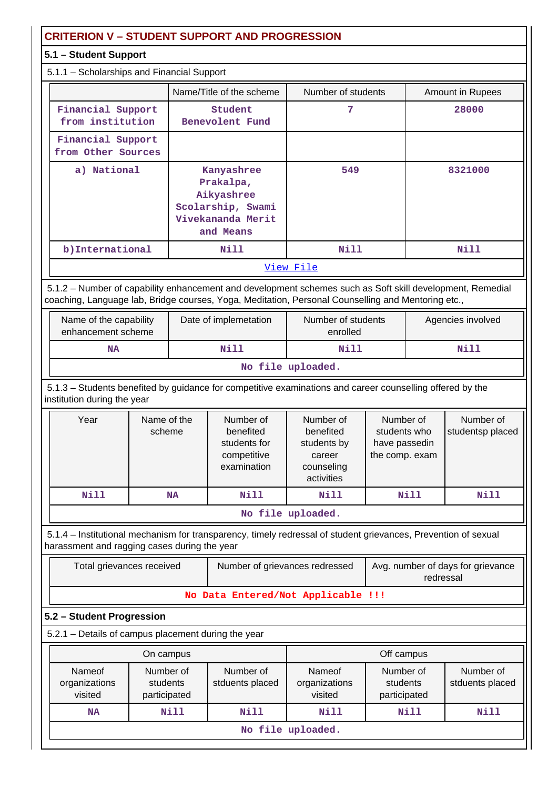## **CRITERION V – STUDENT SUPPORT AND PROGRESSION**

## **5.1 – Student Support**

| 5.1.1 - Scholarships and Financial Support |  |
|--------------------------------------------|--|
|--------------------------------------------|--|

|                                         | Name/Title of the scheme                                                                     | Number of students | Amount in Rupees |  |
|-----------------------------------------|----------------------------------------------------------------------------------------------|--------------------|------------------|--|
| Financial Support<br>from institution   | Student<br>Benevolent Fund                                                                   | 7                  | 28000            |  |
| Financial Support<br>from Other Sources |                                                                                              |                    |                  |  |
| a) National                             | Kanyashree<br>Prakalpa,<br>Aikyashree<br>Scolarship, Swami<br>Vivekananda Merit<br>and Means | 549                | 8321000          |  |
| b) International                        | Nill                                                                                         | Nill               | Nill             |  |
|                                         |                                                                                              | View File          |                  |  |

 5.1.2 – Number of capability enhancement and development schemes such as Soft skill development, Remedial coaching, Language lab, Bridge courses, Yoga, Meditation, Personal Counselling and Mentoring etc.,

| Name of the capability<br>enhancement scheme | Date of implemetation | Number of students<br>enrolled | Agencies involved |  |  |  |  |
|----------------------------------------------|-----------------------|--------------------------------|-------------------|--|--|--|--|
| <b>NA</b>                                    | Nill                  | Nill                           | Nill              |  |  |  |  |
| Mo file unloaded                             |                       |                                |                   |  |  |  |  |

### **No file uploaded.**

 5.1.3 – Students benefited by guidance for competitive examinations and career counselling offered by the institution during the year

| Year               | Name of the<br>scheme | Number of<br>benefited<br>students for<br>competitive<br>examination | Number of<br>benefited<br>students by<br>career<br>counseling<br>activities | Number of<br>students who<br>have passedin<br>the comp. exam | Number of<br>studentsp placed |  |  |  |  |  |  |
|--------------------|-----------------------|----------------------------------------------------------------------|-----------------------------------------------------------------------------|--------------------------------------------------------------|-------------------------------|--|--|--|--|--|--|
| Nill               | <b>NA</b>             | Nill                                                                 | Nill                                                                        | Nill                                                         | Nill                          |  |  |  |  |  |  |
| ata 221a uu laadad |                       |                                                                      |                                                                             |                                                              |                               |  |  |  |  |  |  |

**No file uploaded.**

 5.1.4 – Institutional mechanism for transparency, timely redressal of student grievances, Prevention of sexual harassment and ragging cases during the year

| Total grievances received          | Number of grievances redressed | Avg. number of days for grievance<br>redressal |  |  |  |  |  |
|------------------------------------|--------------------------------|------------------------------------------------|--|--|--|--|--|
| No Data Entered/Not Applicable !!! |                                |                                                |  |  |  |  |  |

## **5.2 – Student Progression**

|                                    | On campus                             |                              | Off campus |                                                                             |      |  |  |  |
|------------------------------------|---------------------------------------|------------------------------|------------|-----------------------------------------------------------------------------|------|--|--|--|
| Nameof<br>organizations<br>visited | Number of<br>students<br>participated | Number of<br>stduents placed |            | Number of<br>Nameof<br>organizations<br>students<br>visited<br>participated |      |  |  |  |
| <b>NA</b>                          | Nill                                  | Nill                         | Nill       | Nill                                                                        | Nill |  |  |  |
| No file uploaded.                  |                                       |                              |            |                                                                             |      |  |  |  |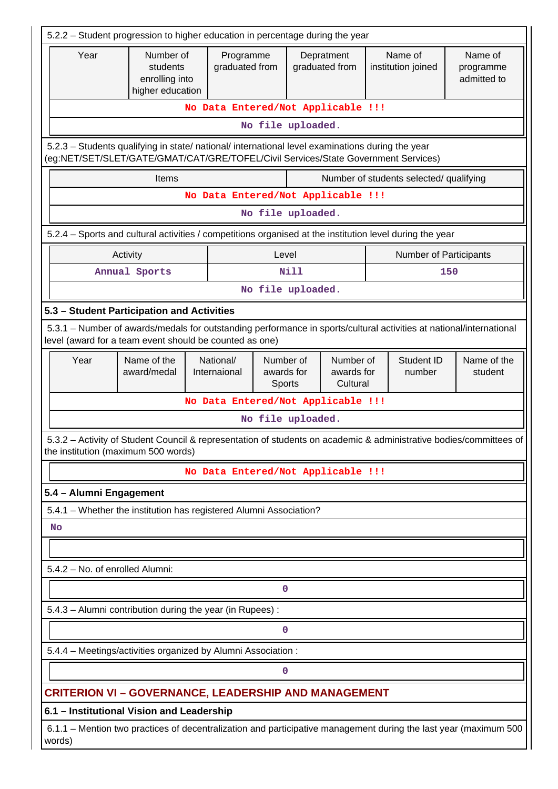| 5.2.2 - Student progression to higher education in percentage during the year                                              |                                                                                                                     |                                                                                              |                                   |                                     |                                     |                                         |                        |
|----------------------------------------------------------------------------------------------------------------------------|---------------------------------------------------------------------------------------------------------------------|----------------------------------------------------------------------------------------------|-----------------------------------|-------------------------------------|-------------------------------------|-----------------------------------------|------------------------|
| Year                                                                                                                       | Number of<br>students<br>enrolling into<br>higher education                                                         | Programme<br>Name of<br>Depratment<br>graduated from<br>graduated from<br>institution joined |                                   |                                     | Name of<br>programme<br>admitted to |                                         |                        |
|                                                                                                                            |                                                                                                                     | No Data Entered/Not Applicable !!!                                                           |                                   |                                     |                                     |                                         |                        |
|                                                                                                                            |                                                                                                                     |                                                                                              | No file uploaded.                 |                                     |                                     |                                         |                        |
| (eg:NET/SET/SLET/GATE/GMAT/CAT/GRE/TOFEL/Civil Services/State Government Services)                                         | 5.2.3 - Students qualifying in state/ national/ international level examinations during the year                    |                                                                                              |                                   |                                     |                                     |                                         |                        |
|                                                                                                                            | Items                                                                                                               |                                                                                              |                                   |                                     |                                     | Number of students selected/ qualifying |                        |
|                                                                                                                            |                                                                                                                     | No Data Entered/Not Applicable !!!                                                           |                                   |                                     |                                     |                                         |                        |
|                                                                                                                            |                                                                                                                     |                                                                                              | No file uploaded.                 |                                     |                                     |                                         |                        |
|                                                                                                                            | 5.2.4 – Sports and cultural activities / competitions organised at the institution level during the year            |                                                                                              |                                   |                                     |                                     |                                         |                        |
|                                                                                                                            | Activity                                                                                                            |                                                                                              | Level                             |                                     |                                     | Number of Participants                  |                        |
|                                                                                                                            | Annual Sports                                                                                                       |                                                                                              | <b>Nill</b>                       |                                     |                                     |                                         | 150                    |
|                                                                                                                            |                                                                                                                     |                                                                                              | No file uploaded.                 |                                     |                                     |                                         |                        |
| 5.3 - Student Participation and Activities                                                                                 |                                                                                                                     |                                                                                              |                                   |                                     |                                     |                                         |                        |
| level (award for a team event should be counted as one)                                                                    | 5.3.1 - Number of awards/medals for outstanding performance in sports/cultural activities at national/international |                                                                                              |                                   |                                     |                                     |                                         |                        |
| Year                                                                                                                       | Name of the<br>award/medal                                                                                          | National/<br>Internaional                                                                    | Number of<br>awards for<br>Sports | Number of<br>awards for<br>Cultural |                                     | Student ID<br>number                    | Name of the<br>student |
|                                                                                                                            |                                                                                                                     | No Data Entered/Not Applicable !!!                                                           |                                   |                                     |                                     |                                         |                        |
|                                                                                                                            |                                                                                                                     |                                                                                              | No file uploaded.                 |                                     |                                     |                                         |                        |
| the institution (maximum 500 words)                                                                                        | 5.3.2 - Activity of Student Council & representation of students on academic & administrative bodies/committees of  |                                                                                              |                                   |                                     |                                     |                                         |                        |
|                                                                                                                            |                                                                                                                     | No Data Entered/Not Applicable !!!                                                           |                                   |                                     |                                     |                                         |                        |
| 5.4 - Alumni Engagement                                                                                                    |                                                                                                                     |                                                                                              |                                   |                                     |                                     |                                         |                        |
|                                                                                                                            | 5.4.1 - Whether the institution has registered Alumni Association?                                                  |                                                                                              |                                   |                                     |                                     |                                         |                        |
| No                                                                                                                         |                                                                                                                     |                                                                                              |                                   |                                     |                                     |                                         |                        |
|                                                                                                                            |                                                                                                                     |                                                                                              |                                   |                                     |                                     |                                         |                        |
| 5.4.2 - No. of enrolled Alumni:                                                                                            |                                                                                                                     |                                                                                              |                                   |                                     |                                     |                                         |                        |
| 0                                                                                                                          |                                                                                                                     |                                                                                              |                                   |                                     |                                     |                                         |                        |
| 5.4.3 - Alumni contribution during the year (in Rupees):                                                                   |                                                                                                                     |                                                                                              |                                   |                                     |                                     |                                         |                        |
| 0                                                                                                                          |                                                                                                                     |                                                                                              |                                   |                                     |                                     |                                         |                        |
| 5.4.4 - Meetings/activities organized by Alumni Association :                                                              |                                                                                                                     |                                                                                              |                                   |                                     |                                     |                                         |                        |
| 0                                                                                                                          |                                                                                                                     |                                                                                              |                                   |                                     |                                     |                                         |                        |
|                                                                                                                            | <b>CRITERION VI - GOVERNANCE, LEADERSHIP AND MANAGEMENT</b>                                                         |                                                                                              |                                   |                                     |                                     |                                         |                        |
| 6.1 - Institutional Vision and Leadership                                                                                  |                                                                                                                     |                                                                                              |                                   |                                     |                                     |                                         |                        |
| 6.1.1 – Mention two practices of decentralization and participative management during the last year (maximum 500<br>words) |                                                                                                                     |                                                                                              |                                   |                                     |                                     |                                         |                        |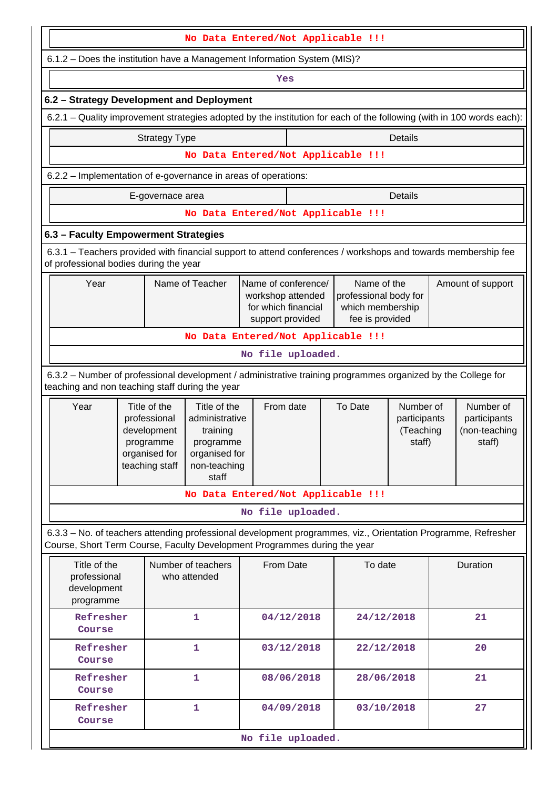| No Data Entered/Not Applicable !!!                                                                                                                                                         |                                                                                             |                                                                                                   |                                                                                     |            |                                                                             |                                                  |  |                                                      |  |  |
|--------------------------------------------------------------------------------------------------------------------------------------------------------------------------------------------|---------------------------------------------------------------------------------------------|---------------------------------------------------------------------------------------------------|-------------------------------------------------------------------------------------|------------|-----------------------------------------------------------------------------|--------------------------------------------------|--|------------------------------------------------------|--|--|
|                                                                                                                                                                                            | 6.1.2 - Does the institution have a Management Information System (MIS)?                    |                                                                                                   |                                                                                     |            |                                                                             |                                                  |  |                                                      |  |  |
|                                                                                                                                                                                            | Yes                                                                                         |                                                                                                   |                                                                                     |            |                                                                             |                                                  |  |                                                      |  |  |
| 6.2 - Strategy Development and Deployment                                                                                                                                                  |                                                                                             |                                                                                                   |                                                                                     |            |                                                                             |                                                  |  |                                                      |  |  |
| 6.2.1 – Quality improvement strategies adopted by the institution for each of the following (with in 100 words each):                                                                      |                                                                                             |                                                                                                   |                                                                                     |            |                                                                             |                                                  |  |                                                      |  |  |
|                                                                                                                                                                                            | <b>Strategy Type</b>                                                                        |                                                                                                   |                                                                                     |            |                                                                             | <b>Details</b>                                   |  |                                                      |  |  |
|                                                                                                                                                                                            |                                                                                             |                                                                                                   |                                                                                     |            | No Data Entered/Not Applicable !!!                                          |                                                  |  |                                                      |  |  |
| 6.2.2 - Implementation of e-governance in areas of operations:                                                                                                                             |                                                                                             |                                                                                                   |                                                                                     |            |                                                                             |                                                  |  |                                                      |  |  |
|                                                                                                                                                                                            | E-governace area                                                                            |                                                                                                   |                                                                                     |            |                                                                             | <b>Details</b>                                   |  |                                                      |  |  |
|                                                                                                                                                                                            |                                                                                             |                                                                                                   |                                                                                     |            | No Data Entered/Not Applicable !!!                                          |                                                  |  |                                                      |  |  |
| 6.3 - Faculty Empowerment Strategies                                                                                                                                                       |                                                                                             |                                                                                                   |                                                                                     |            |                                                                             |                                                  |  |                                                      |  |  |
| 6.3.1 - Teachers provided with financial support to attend conferences / workshops and towards membership fee<br>of professional bodies during the year                                    |                                                                                             |                                                                                                   |                                                                                     |            |                                                                             |                                                  |  |                                                      |  |  |
| Year                                                                                                                                                                                       |                                                                                             | Name of Teacher                                                                                   | Name of conference/<br>workshop attended<br>for which financial<br>support provided |            | Name of the<br>professional body for<br>which membership<br>fee is provided |                                                  |  | Amount of support                                    |  |  |
|                                                                                                                                                                                            |                                                                                             |                                                                                                   |                                                                                     |            | No Data Entered/Not Applicable !!!                                          |                                                  |  |                                                      |  |  |
|                                                                                                                                                                                            |                                                                                             |                                                                                                   | No file uploaded.                                                                   |            |                                                                             |                                                  |  |                                                      |  |  |
| 6.3.2 – Number of professional development / administrative training programmes organized by the College for<br>teaching and non teaching staff during the year                            |                                                                                             |                                                                                                   |                                                                                     |            |                                                                             |                                                  |  |                                                      |  |  |
| Year                                                                                                                                                                                       | Title of the<br>professional<br>development<br>programme<br>organised for<br>teaching staff | Title of the<br>administrative<br>training<br>programme<br>organised for<br>non-teaching<br>staff | From date                                                                           |            | To Date                                                                     | Number of<br>participants<br>(Teaching<br>staff) |  | Number of<br>participants<br>(non-teaching<br>staff) |  |  |
|                                                                                                                                                                                            |                                                                                             |                                                                                                   |                                                                                     |            | No Data Entered/Not Applicable !!!                                          |                                                  |  |                                                      |  |  |
|                                                                                                                                                                                            |                                                                                             |                                                                                                   | No file uploaded.                                                                   |            |                                                                             |                                                  |  |                                                      |  |  |
| 6.3.3 - No. of teachers attending professional development programmes, viz., Orientation Programme, Refresher<br>Course, Short Term Course, Faculty Development Programmes during the year |                                                                                             |                                                                                                   |                                                                                     |            |                                                                             |                                                  |  |                                                      |  |  |
| Title of the<br>professional<br>development<br>programme                                                                                                                                   |                                                                                             | Number of teachers<br>who attended                                                                | From Date                                                                           |            | To date                                                                     |                                                  |  | Duration                                             |  |  |
| Refresher<br>Course                                                                                                                                                                        |                                                                                             |                                                                                                   | 04/12/2018                                                                          | 24/12/2018 | 21                                                                          |                                                  |  |                                                      |  |  |
| Refresher<br>Course                                                                                                                                                                        |                                                                                             | 1                                                                                                 |                                                                                     | 03/12/2018 | 22/12/2018                                                                  |                                                  |  | 20                                                   |  |  |
| Refresher<br>Course                                                                                                                                                                        |                                                                                             | $\mathbf{1}$                                                                                      |                                                                                     | 08/06/2018 | 28/06/2018                                                                  |                                                  |  | 21                                                   |  |  |
| Refresher<br>Course                                                                                                                                                                        |                                                                                             | 1                                                                                                 |                                                                                     | 04/09/2018 | 03/10/2018                                                                  |                                                  |  | 27                                                   |  |  |
|                                                                                                                                                                                            |                                                                                             |                                                                                                   | No file uploaded.                                                                   |            |                                                                             |                                                  |  |                                                      |  |  |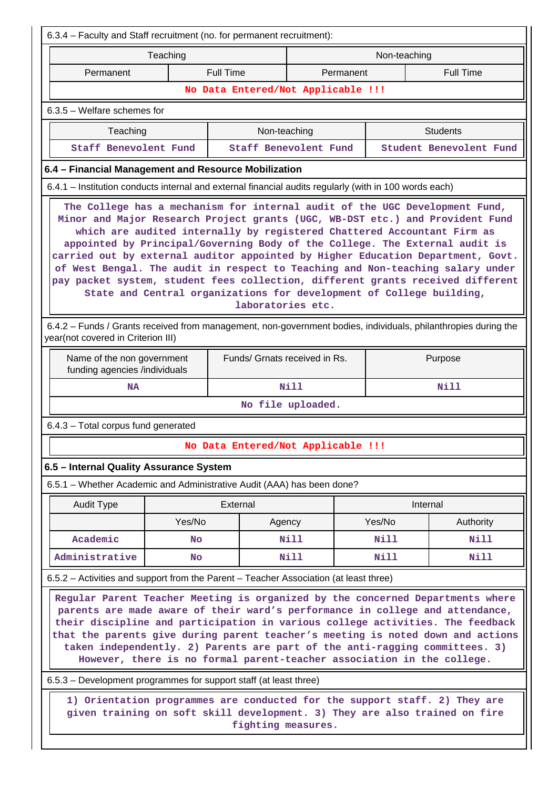| 6.3.4 - Faculty and Staff recruitment (no. for permanent recruitment):                                                                                                                                                                                                                                                                                                                                                                                                                        |                                                                                                                                                                                                                                                                                                                                                                                                                                                                                                                                                                                                                                                                             |           |                                                                                                                                                                                |                   |           |              |                                                                                                                |  |  |  |
|-----------------------------------------------------------------------------------------------------------------------------------------------------------------------------------------------------------------------------------------------------------------------------------------------------------------------------------------------------------------------------------------------------------------------------------------------------------------------------------------------|-----------------------------------------------------------------------------------------------------------------------------------------------------------------------------------------------------------------------------------------------------------------------------------------------------------------------------------------------------------------------------------------------------------------------------------------------------------------------------------------------------------------------------------------------------------------------------------------------------------------------------------------------------------------------------|-----------|--------------------------------------------------------------------------------------------------------------------------------------------------------------------------------|-------------------|-----------|--------------|----------------------------------------------------------------------------------------------------------------|--|--|--|
|                                                                                                                                                                                                                                                                                                                                                                                                                                                                                               | Teaching                                                                                                                                                                                                                                                                                                                                                                                                                                                                                                                                                                                                                                                                    |           |                                                                                                                                                                                |                   |           | Non-teaching |                                                                                                                |  |  |  |
| Permanent                                                                                                                                                                                                                                                                                                                                                                                                                                                                                     |                                                                                                                                                                                                                                                                                                                                                                                                                                                                                                                                                                                                                                                                             |           | <b>Full Time</b>                                                                                                                                                               |                   | Permanent |              | <b>Full Time</b>                                                                                               |  |  |  |
|                                                                                                                                                                                                                                                                                                                                                                                                                                                                                               |                                                                                                                                                                                                                                                                                                                                                                                                                                                                                                                                                                                                                                                                             |           | No Data Entered/Not Applicable !!!                                                                                                                                             |                   |           |              |                                                                                                                |  |  |  |
| 6.3.5 - Welfare schemes for                                                                                                                                                                                                                                                                                                                                                                                                                                                                   |                                                                                                                                                                                                                                                                                                                                                                                                                                                                                                                                                                                                                                                                             |           |                                                                                                                                                                                |                   |           |              |                                                                                                                |  |  |  |
|                                                                                                                                                                                                                                                                                                                                                                                                                                                                                               | Teaching                                                                                                                                                                                                                                                                                                                                                                                                                                                                                                                                                                                                                                                                    |           | Non-teaching                                                                                                                                                                   |                   |           |              | <b>Students</b>                                                                                                |  |  |  |
| <b>Staff Benevolent Fund</b>                                                                                                                                                                                                                                                                                                                                                                                                                                                                  |                                                                                                                                                                                                                                                                                                                                                                                                                                                                                                                                                                                                                                                                             |           | Staff Benevolent Fund                                                                                                                                                          |                   |           |              | Student Benevolent Fund                                                                                        |  |  |  |
| 6.4 - Financial Management and Resource Mobilization                                                                                                                                                                                                                                                                                                                                                                                                                                          |                                                                                                                                                                                                                                                                                                                                                                                                                                                                                                                                                                                                                                                                             |           |                                                                                                                                                                                |                   |           |              |                                                                                                                |  |  |  |
|                                                                                                                                                                                                                                                                                                                                                                                                                                                                                               |                                                                                                                                                                                                                                                                                                                                                                                                                                                                                                                                                                                                                                                                             |           | 6.4.1 - Institution conducts internal and external financial audits regularly (with in 100 words each)                                                                         |                   |           |              |                                                                                                                |  |  |  |
|                                                                                                                                                                                                                                                                                                                                                                                                                                                                                               | The College has a mechanism for internal audit of the UGC Development Fund,<br>Minor and Major Research Project grants (UGC, WB-DST etc.) and Provident Fund<br>which are audited internally by registered Chattered Accountant Firm as<br>appointed by Principal/Governing Body of the College. The External audit is<br>carried out by external auditor appointed by Higher Education Department, Govt.<br>of West Bengal. The audit in respect to Teaching and Non-teaching salary under<br>pay packet system, student fees collection, different grants received different<br>State and Central organizations for development of College building,<br>laboratories etc. |           |                                                                                                                                                                                |                   |           |              |                                                                                                                |  |  |  |
| year(not covered in Criterion III)                                                                                                                                                                                                                                                                                                                                                                                                                                                            |                                                                                                                                                                                                                                                                                                                                                                                                                                                                                                                                                                                                                                                                             |           |                                                                                                                                                                                |                   |           |              | 6.4.2 - Funds / Grants received from management, non-government bodies, individuals, philanthropies during the |  |  |  |
| Name of the non government<br>funding agencies /individuals                                                                                                                                                                                                                                                                                                                                                                                                                                   |                                                                                                                                                                                                                                                                                                                                                                                                                                                                                                                                                                                                                                                                             |           | Funds/ Grnats received in Rs.                                                                                                                                                  |                   |           |              | Purpose                                                                                                        |  |  |  |
|                                                                                                                                                                                                                                                                                                                                                                                                                                                                                               | <b>NA</b>                                                                                                                                                                                                                                                                                                                                                                                                                                                                                                                                                                                                                                                                   |           |                                                                                                                                                                                | Nill              |           | Nill         |                                                                                                                |  |  |  |
|                                                                                                                                                                                                                                                                                                                                                                                                                                                                                               |                                                                                                                                                                                                                                                                                                                                                                                                                                                                                                                                                                                                                                                                             |           |                                                                                                                                                                                | No file uploaded. |           |              |                                                                                                                |  |  |  |
| 6.4.3 - Total corpus fund generated                                                                                                                                                                                                                                                                                                                                                                                                                                                           |                                                                                                                                                                                                                                                                                                                                                                                                                                                                                                                                                                                                                                                                             |           |                                                                                                                                                                                |                   |           |              |                                                                                                                |  |  |  |
|                                                                                                                                                                                                                                                                                                                                                                                                                                                                                               |                                                                                                                                                                                                                                                                                                                                                                                                                                                                                                                                                                                                                                                                             |           | No Data Entered/Not Applicable !!!                                                                                                                                             |                   |           |              |                                                                                                                |  |  |  |
| 6.5 - Internal Quality Assurance System                                                                                                                                                                                                                                                                                                                                                                                                                                                       |                                                                                                                                                                                                                                                                                                                                                                                                                                                                                                                                                                                                                                                                             |           |                                                                                                                                                                                |                   |           |              |                                                                                                                |  |  |  |
|                                                                                                                                                                                                                                                                                                                                                                                                                                                                                               |                                                                                                                                                                                                                                                                                                                                                                                                                                                                                                                                                                                                                                                                             |           | 6.5.1 - Whether Academic and Administrative Audit (AAA) has been done?                                                                                                         |                   |           |              |                                                                                                                |  |  |  |
| Audit Type                                                                                                                                                                                                                                                                                                                                                                                                                                                                                    |                                                                                                                                                                                                                                                                                                                                                                                                                                                                                                                                                                                                                                                                             |           | External                                                                                                                                                                       |                   |           | Internal     |                                                                                                                |  |  |  |
|                                                                                                                                                                                                                                                                                                                                                                                                                                                                                               |                                                                                                                                                                                                                                                                                                                                                                                                                                                                                                                                                                                                                                                                             | Yes/No    | Agency                                                                                                                                                                         |                   |           | Yes/No       | Authority                                                                                                      |  |  |  |
| Academic                                                                                                                                                                                                                                                                                                                                                                                                                                                                                      |                                                                                                                                                                                                                                                                                                                                                                                                                                                                                                                                                                                                                                                                             | No        |                                                                                                                                                                                | Nill              |           | Nill         | Nill                                                                                                           |  |  |  |
| Administrative                                                                                                                                                                                                                                                                                                                                                                                                                                                                                |                                                                                                                                                                                                                                                                                                                                                                                                                                                                                                                                                                                                                                                                             | <b>No</b> |                                                                                                                                                                                | <b>Nill</b>       |           | Nill         | Nill                                                                                                           |  |  |  |
| 6.5.2 – Activities and support from the Parent – Teacher Association (at least three)                                                                                                                                                                                                                                                                                                                                                                                                         |                                                                                                                                                                                                                                                                                                                                                                                                                                                                                                                                                                                                                                                                             |           |                                                                                                                                                                                |                   |           |              |                                                                                                                |  |  |  |
| Regular Parent Teacher Meeting is organized by the concerned Departments where<br>parents are made aware of their ward's performance in college and attendance,<br>their discipline and participation in various college activities. The feedback<br>that the parents give during parent teacher's meeting is noted down and actions<br>taken independently. 2) Parents are part of the anti-ragging committees. 3)<br>However, there is no formal parent-teacher association in the college. |                                                                                                                                                                                                                                                                                                                                                                                                                                                                                                                                                                                                                                                                             |           |                                                                                                                                                                                |                   |           |              |                                                                                                                |  |  |  |
|                                                                                                                                                                                                                                                                                                                                                                                                                                                                                               | 6.5.3 – Development programmes for support staff (at least three)                                                                                                                                                                                                                                                                                                                                                                                                                                                                                                                                                                                                           |           |                                                                                                                                                                                |                   |           |              |                                                                                                                |  |  |  |
|                                                                                                                                                                                                                                                                                                                                                                                                                                                                                               |                                                                                                                                                                                                                                                                                                                                                                                                                                                                                                                                                                                                                                                                             |           | 1) Orientation programmes are conducted for the support staff. 2) They are<br>given training on soft skill development. 3) They are also trained on fire<br>fighting measures. |                   |           |              |                                                                                                                |  |  |  |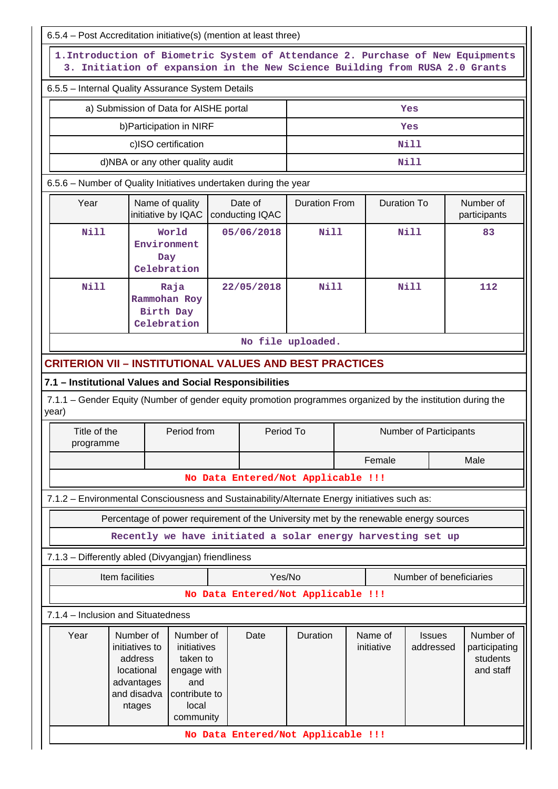| 6.5.4 - Post Accreditation initiative(s) (mention at least three)                                                                                              |                                                                                                                                                                                                  |                                                  |  |                                                                                       |                      |  |                       |                               |                                                     |
|----------------------------------------------------------------------------------------------------------------------------------------------------------------|--------------------------------------------------------------------------------------------------------------------------------------------------------------------------------------------------|--------------------------------------------------|--|---------------------------------------------------------------------------------------|----------------------|--|-----------------------|-------------------------------|-----------------------------------------------------|
| 1. Introduction of Biometric System of Attendance 2. Purchase of New Equipments<br>3. Initiation of expansion in the New Science Building from RUSA 2.0 Grants |                                                                                                                                                                                                  |                                                  |  |                                                                                       |                      |  |                       |                               |                                                     |
| 6.5.5 - Internal Quality Assurance System Details                                                                                                              |                                                                                                                                                                                                  |                                                  |  |                                                                                       |                      |  |                       |                               |                                                     |
|                                                                                                                                                                |                                                                                                                                                                                                  | a) Submission of Data for AISHE portal           |  |                                                                                       |                      |  |                       | Yes                           |                                                     |
|                                                                                                                                                                |                                                                                                                                                                                                  | b) Participation in NIRF                         |  |                                                                                       |                      |  |                       | Yes                           |                                                     |
|                                                                                                                                                                |                                                                                                                                                                                                  | c)ISO certification                              |  |                                                                                       |                      |  |                       | <b>Nill</b>                   |                                                     |
|                                                                                                                                                                |                                                                                                                                                                                                  | d)NBA or any other quality audit                 |  |                                                                                       |                      |  |                       | <b>Nill</b>                   |                                                     |
| 6.5.6 - Number of Quality Initiatives undertaken during the year                                                                                               |                                                                                                                                                                                                  |                                                  |  |                                                                                       |                      |  |                       |                               |                                                     |
| Year                                                                                                                                                           |                                                                                                                                                                                                  | Name of quality<br>initiative by IQAC            |  | Date of<br>conducting IQAC                                                            | <b>Duration From</b> |  | <b>Duration To</b>    |                               | Number of<br>participants                           |
| Nill                                                                                                                                                           |                                                                                                                                                                                                  | World<br>Environment<br>Day<br>Celebration       |  | 05/06/2018                                                                            | <b>Nill</b>          |  |                       | <b>Nill</b>                   | 83                                                  |
| Nill                                                                                                                                                           |                                                                                                                                                                                                  | Raja<br>Rammohan Roy<br>Birth Day<br>Celebration |  | 22/05/2018                                                                            | Nill                 |  |                       | Nill                          | 112                                                 |
|                                                                                                                                                                |                                                                                                                                                                                                  |                                                  |  |                                                                                       | No file uploaded.    |  |                       |                               |                                                     |
| <b>CRITERION VII – INSTITUTIONAL VALUES AND BEST PRACTICES</b>                                                                                                 |                                                                                                                                                                                                  |                                                  |  |                                                                                       |                      |  |                       |                               |                                                     |
| 7.1 - Institutional Values and Social Responsibilities                                                                                                         |                                                                                                                                                                                                  |                                                  |  |                                                                                       |                      |  |                       |                               |                                                     |
| 7.1.1 – Gender Equity (Number of gender equity promotion programmes organized by the institution during the<br>year)                                           |                                                                                                                                                                                                  |                                                  |  |                                                                                       |                      |  |                       |                               |                                                     |
| Title of the<br>programme                                                                                                                                      |                                                                                                                                                                                                  | Period from                                      |  | Period To                                                                             |                      |  |                       | <b>Number of Participants</b> |                                                     |
|                                                                                                                                                                |                                                                                                                                                                                                  |                                                  |  |                                                                                       | Female               |  |                       | Male                          |                                                     |
|                                                                                                                                                                |                                                                                                                                                                                                  |                                                  |  | No Data Entered/Not Applicable !!!                                                    |                      |  |                       |                               |                                                     |
| 7.1.2 - Environmental Consciousness and Sustainability/Alternate Energy initiatives such as:                                                                   |                                                                                                                                                                                                  |                                                  |  |                                                                                       |                      |  |                       |                               |                                                     |
|                                                                                                                                                                |                                                                                                                                                                                                  |                                                  |  | Percentage of power requirement of the University met by the renewable energy sources |                      |  |                       |                               |                                                     |
|                                                                                                                                                                |                                                                                                                                                                                                  |                                                  |  | Recently we have initiated a solar energy harvesting set up                           |                      |  |                       |                               |                                                     |
| 7.1.3 - Differently abled (Divyangjan) friendliness                                                                                                            |                                                                                                                                                                                                  |                                                  |  |                                                                                       |                      |  |                       |                               |                                                     |
|                                                                                                                                                                | Item facilities                                                                                                                                                                                  |                                                  |  | Yes/No                                                                                |                      |  |                       | Number of beneficiaries       |                                                     |
|                                                                                                                                                                |                                                                                                                                                                                                  |                                                  |  | No Data Entered/Not Applicable !!!                                                    |                      |  |                       |                               |                                                     |
| 7.1.4 - Inclusion and Situatedness                                                                                                                             |                                                                                                                                                                                                  |                                                  |  |                                                                                       |                      |  |                       |                               |                                                     |
| Year                                                                                                                                                           | Number of<br>Number of<br>initiatives to<br>initiatives<br>address<br>taken to<br>locational<br>engage with<br>and<br>advantages<br>and disadva<br>contribute to<br>local<br>ntages<br>community |                                                  |  | Date                                                                                  | Duration             |  | Name of<br>initiative | <b>Issues</b><br>addressed    | Number of<br>participating<br>students<br>and staff |
| No Data Entered/Not Applicable !!!                                                                                                                             |                                                                                                                                                                                                  |                                                  |  |                                                                                       |                      |  |                       |                               |                                                     |